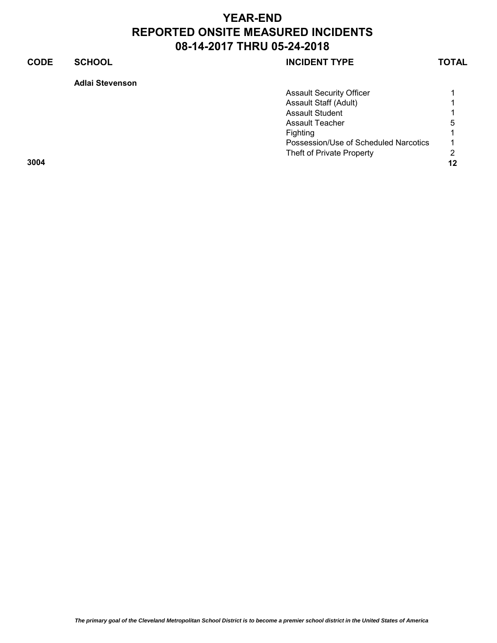## **CODE SCHOOL SCHOOL INCIDENT TYPE TOTAL**

**Adlai Stevenson**

|      | <b>Assault Security Officer</b>       |                |
|------|---------------------------------------|----------------|
|      | Assault Staff (Adult)                 |                |
|      | <b>Assault Student</b>                |                |
|      | Assault Teacher                       | 5              |
|      | Fighting                              |                |
|      | Possession/Use of Scheduled Narcotics | $\overline{ }$ |
|      | Theft of Private Property             | 2              |
| 3004 |                                       | 12             |
|      |                                       |                |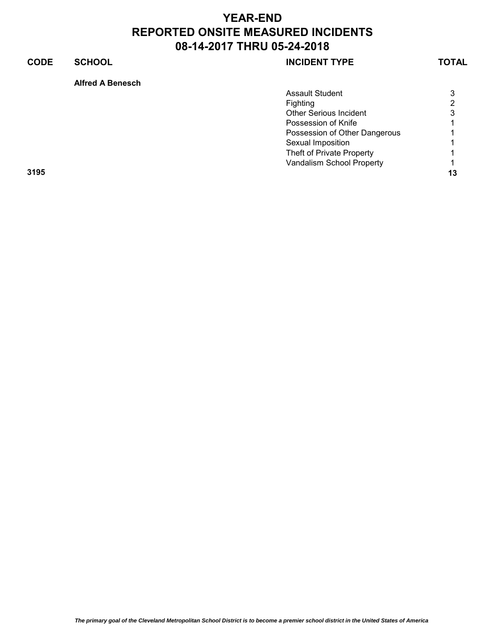## **CODE SCHOOL SCHOOL SCHOOL**

## **Alfred A Benesch**

| Fighting                      | 2<br>3 |
|-------------------------------|--------|
|                               |        |
| <b>Other Serious Incident</b> |        |
| Possession of Knife           |        |
| Possession of Other Dangerous | 1.     |
| Sexual Imposition             |        |
| Theft of Private Property     |        |
| Vandalism School Property     |        |
| 3195                          | 13     |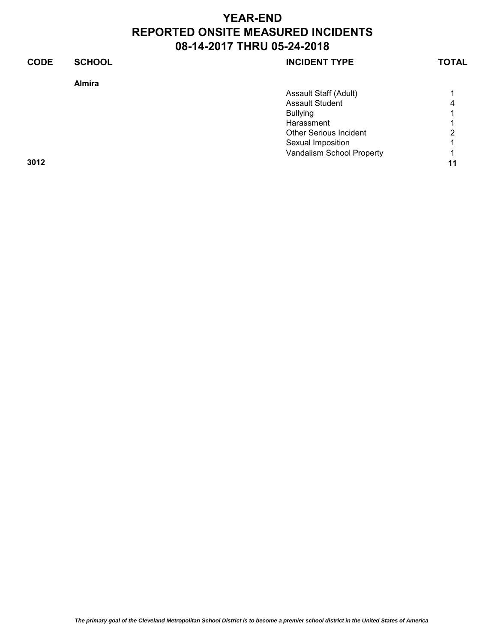| <b>CODE</b><br><b>SCHOOL</b><br><b>INCIDENT TYPE</b> | <b>TOTAL</b> |
|------------------------------------------------------|--------------|
| <b>Almira</b>                                        |              |
| Assault Staff (Adult)                                |              |
| <b>Assault Student</b>                               | 4            |
| <b>Bullying</b>                                      |              |
| Harassment                                           |              |
| <b>Other Serious Incident</b>                        | 2            |
| Sexual Imposition                                    |              |
| Vandalism School Property                            |              |
| 3012                                                 | 11           |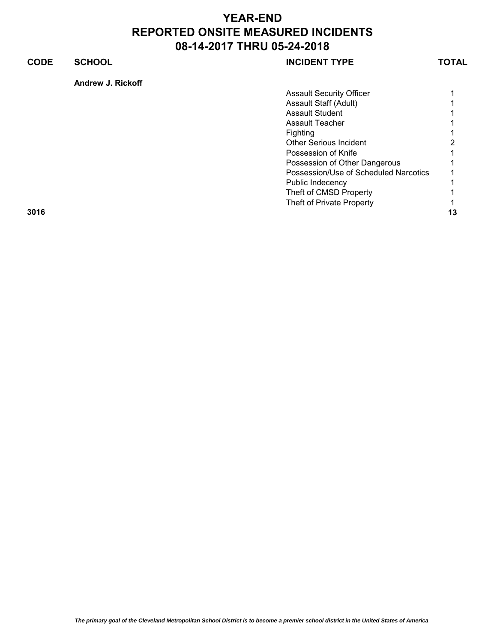## **CODE SCHOOL SCHOOL INCIDENT TYPE TOTAL**

**Andrew J. Rickoff**

|      | <b>Assault Security Officer</b>       |                |
|------|---------------------------------------|----------------|
|      | Assault Staff (Adult)                 |                |
|      | <b>Assault Student</b>                |                |
|      | Assault Teacher                       |                |
|      | <b>Fighting</b>                       |                |
|      | <b>Other Serious Incident</b>         | $\overline{2}$ |
|      | Possession of Knife                   |                |
|      | Possession of Other Dangerous         |                |
|      | Possession/Use of Scheduled Narcotics |                |
|      | Public Indecency                      |                |
|      | Theft of CMSD Property                |                |
|      | Theft of Private Property             |                |
| 3016 |                                       | 13             |
|      |                                       |                |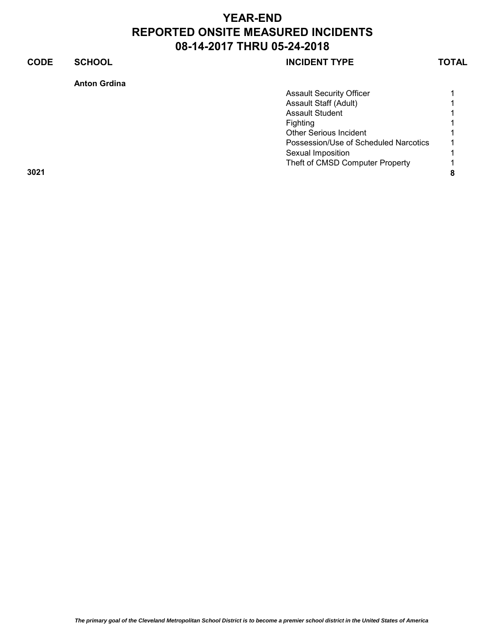## **CODE SCHOOL SCHOOL INCIDENT TYPE TOTAL**

| <b>Anton Grdina</b>                   |   |
|---------------------------------------|---|
| <b>Assault Security Officer</b>       |   |
| Assault Staff (Adult)                 |   |
| <b>Assault Student</b>                |   |
| Fighting                              |   |
| <b>Other Serious Incident</b>         |   |
| Possession/Use of Scheduled Narcotics |   |
| Sexual Imposition                     |   |
| Theft of CMSD Computer Property       |   |
| 3021                                  | 8 |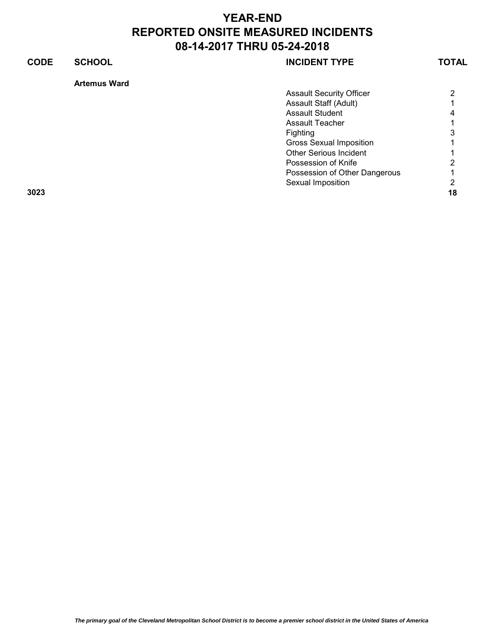| <b>CODE</b> | <b>SCHOOL</b>       | <b>INCIDENT TYPE</b>            | <b>TOTAL</b> |
|-------------|---------------------|---------------------------------|--------------|
|             | <b>Artemus Ward</b> |                                 |              |
|             |                     | <b>Assault Security Officer</b> | 2            |
|             |                     | Assault Staff (Adult)           |              |
|             |                     | <b>Assault Student</b>          |              |
|             |                     | <b>Assault Teacher</b>          |              |
|             |                     | <b>Fighting</b>                 |              |
|             |                     | <b>Gross Sexual Imposition</b>  |              |
|             |                     | <b>Other Serious Incident</b>   |              |
|             |                     | Possession of Knife             | 2            |
|             |                     | Possession of Other Dangerous   |              |
|             |                     | Sexual Imposition               | 2            |
| 3023        |                     |                                 | 18           |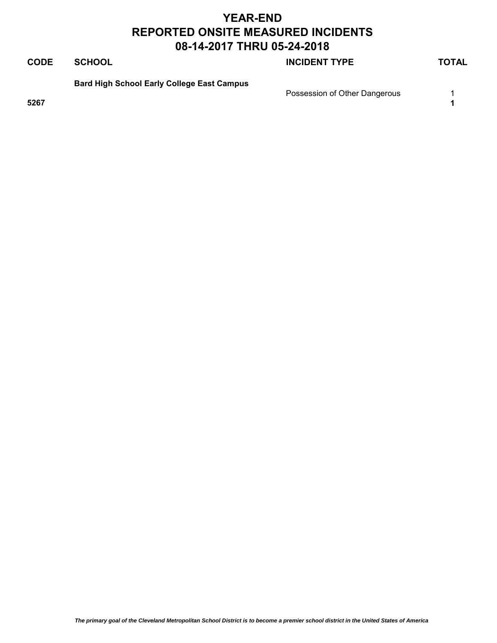## **CODE SCHOOL SCHOOL INCIDENT TYPE TOTAL**

**Bard High School Early College East Campus**

Possession of Other Dangerous 1

**5267 1**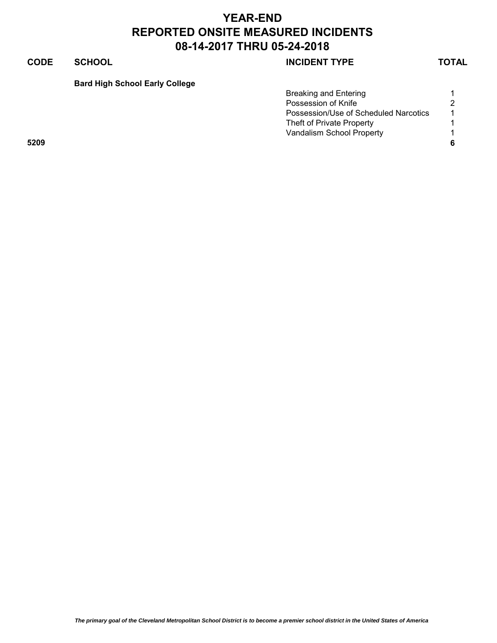## **CODE SCHOOL SCHOOL INCIDENT TYPE TOTAL**

**Bard High School Early College**

|      | <b>Breaking and Entering</b>          |                      |
|------|---------------------------------------|----------------------|
|      | Possession of Knife                   | 2                    |
|      | Possession/Use of Scheduled Narcotics | $\blacktriangleleft$ |
|      | Theft of Private Property             |                      |
|      | Vandalism School Property             |                      |
| 5209 |                                       |                      |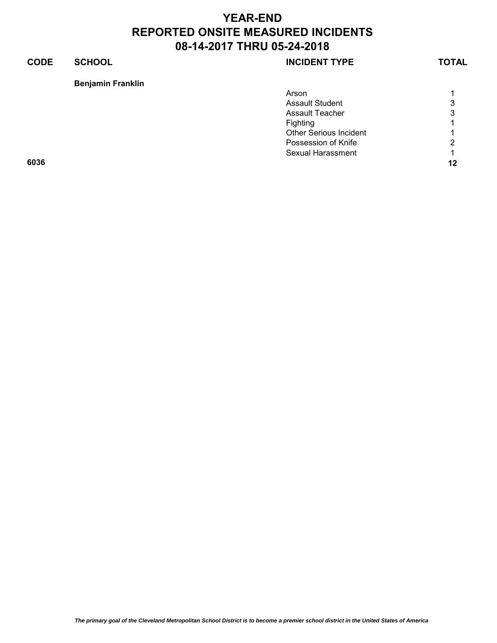## **CODE SCHOOL SCHOOL INCIDENT TYPE TOTAL**

### **Benjamin Franklin**

|      | Arson                         |                      |
|------|-------------------------------|----------------------|
|      | <b>Assault Student</b>        | 3                    |
|      | <b>Assault Teacher</b>        | 3                    |
|      | Fighting                      | $\blacktriangleleft$ |
|      | <b>Other Serious Incident</b> | 1                    |
|      | Possession of Knife           | $\overline{2}$       |
|      | <b>Sexual Harassment</b>      | $\overline{1}$       |
| 6036 |                               | 12                   |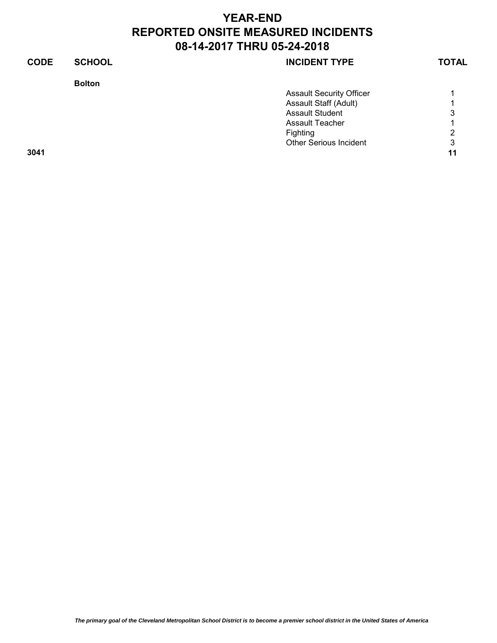| <b>CODE</b> | <b>SCHOOL</b> | <b>INCIDENT TYPE</b>            | <b>TOTAL</b> |
|-------------|---------------|---------------------------------|--------------|
|             | <b>Bolton</b> |                                 |              |
|             |               | <b>Assault Security Officer</b> |              |
|             |               | Assault Staff (Adult)           |              |
|             |               | <b>Assault Student</b>          | 3            |
|             |               | Assault Teacher                 |              |
|             |               | Fighting                        | 2            |
|             |               | <b>Other Serious Incident</b>   | 3            |
| 3041        |               |                                 | 11           |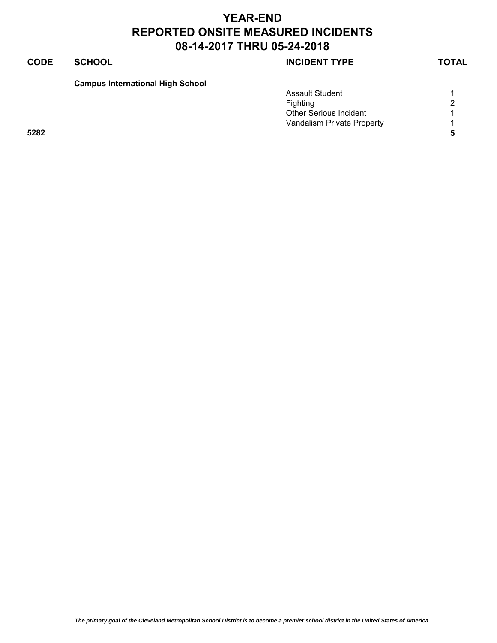## **CODE SCHOOL SCHOOL INCIDENT TYPE TOTAL**

## **Campus International High School**

|      | <b>Assault Student</b>        |   |
|------|-------------------------------|---|
|      | Fighting                      | 2 |
|      | <b>Other Serious Incident</b> |   |
|      | Vandalism Private Property    |   |
| 5282 |                               |   |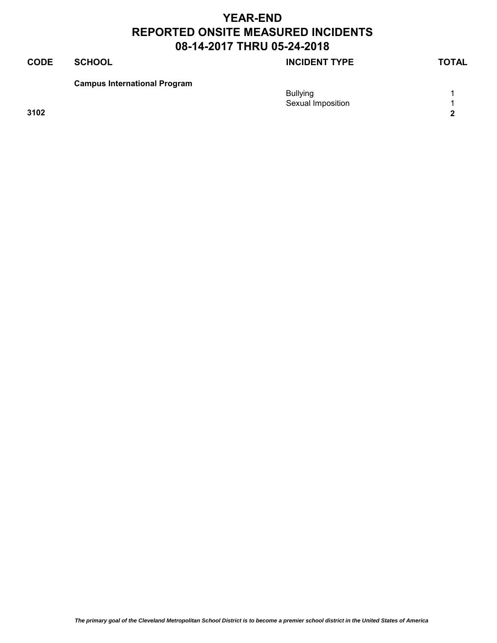## **CODE SCHOOL SCHOOL INCIDENT TYPE TOTAL**

**Campus International Program**

|      | <b>Bullying</b><br>Sexual Imposition |            |
|------|--------------------------------------|------------|
| 3102 |                                      | $\sqrt{2}$ |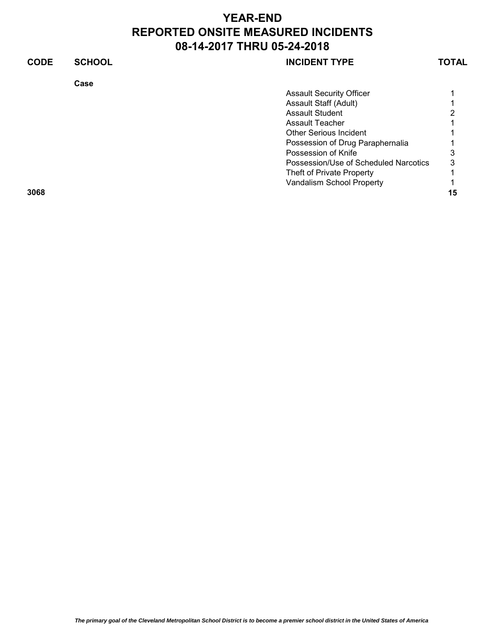| <b>CODE</b> | <b>SCHOOL</b> | <b>INCIDENT TYPE</b>                  | TOTAL |
|-------------|---------------|---------------------------------------|-------|
|             | Case          |                                       |       |
|             |               | <b>Assault Security Officer</b>       |       |
|             |               | Assault Staff (Adult)                 |       |
|             |               | <b>Assault Student</b>                | ⌒     |
|             |               | Assault Teacher                       |       |
|             |               | <b>Other Serious Incident</b>         |       |
|             |               | Possession of Drug Paraphernalia      |       |
|             |               | Possession of Knife                   | 3     |
|             |               | Possession/Use of Scheduled Narcotics | 3     |
|             |               | Theft of Private Property             |       |
|             |               | Vandalism School Property             |       |
| 3068        |               |                                       | 15    |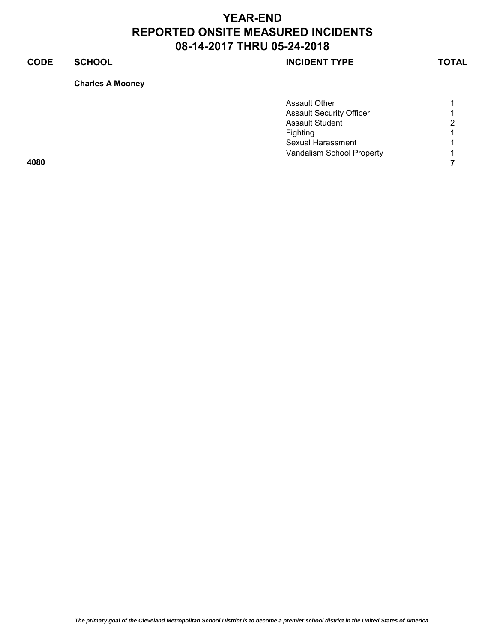## **CODE SCHOOL SCHOOL INCIDENT TYPE TOTAL**

### **Charles A Mooney**

|      | <b>Assault Other</b>            |                          |
|------|---------------------------------|--------------------------|
|      | <b>Assault Security Officer</b> | $\overline{\phantom{a}}$ |
|      | <b>Assault Student</b>          | 2                        |
|      | <b>Fighting</b>                 |                          |
|      | <b>Sexual Harassment</b>        |                          |
|      | Vandalism School Property       | $\overline{\phantom{a}}$ |
| 4080 |                                 |                          |
|      |                                 |                          |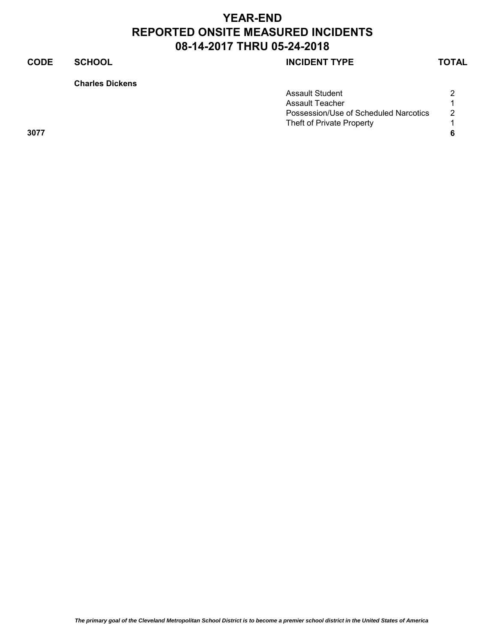## **CODE SCHOOL SCHOOL SCHOOL**

**Charles Dickens**

|      | <b>Assault Student</b>                | ∩ |
|------|---------------------------------------|---|
|      | Assault Teacher                       |   |
|      | Possession/Use of Scheduled Narcotics | 2 |
|      | Theft of Private Property             |   |
| 3077 |                                       |   |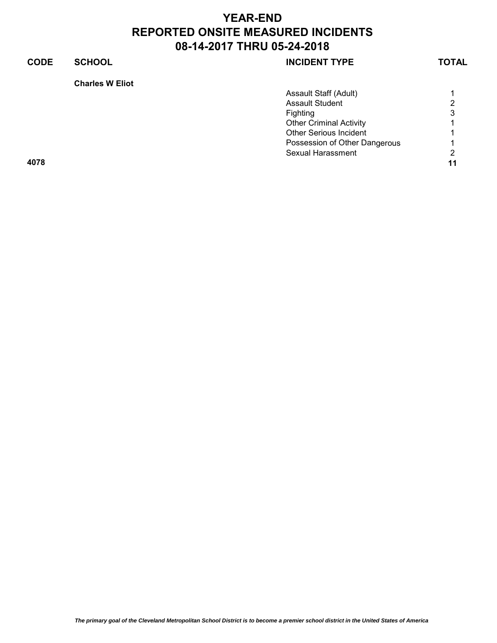## **CODE SCHOOL SCHOOL INCIDENT TYPE TOTAL**

| Charles W Eliot |  |  |
|-----------------|--|--|
|-----------------|--|--|

|      | Assault Staff (Adult)          |    |
|------|--------------------------------|----|
|      | <b>Assault Student</b>         | 2  |
|      | Fighting                       | 3  |
|      | <b>Other Criminal Activity</b> |    |
|      | <b>Other Serious Incident</b>  |    |
|      | Possession of Other Dangerous  |    |
|      | Sexual Harassment              | 2  |
| 4078 |                                | 11 |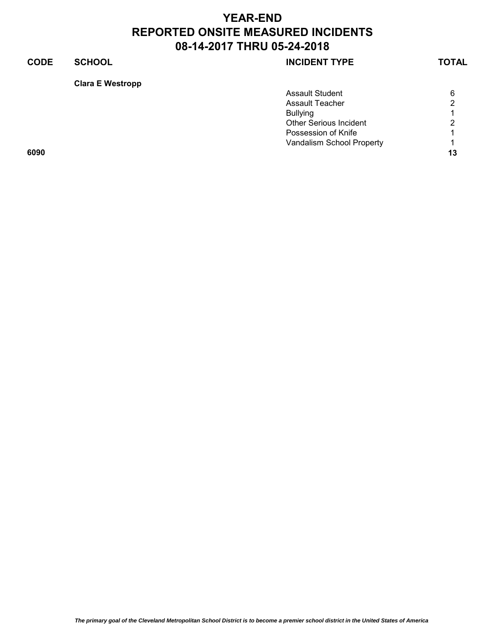### **CODE SCHOOL SCHOOL SCHOOL**

### **Clara E Westropp**

|      | <b>Assault Student</b>        | 6              |
|------|-------------------------------|----------------|
|      | <b>Assault Teacher</b>        | 2              |
|      | <b>Bullying</b>               | 4              |
|      | <b>Other Serious Incident</b> | $\overline{2}$ |
|      | Possession of Knife           | $\overline{A}$ |
|      | Vandalism School Property     | $\overline{1}$ |
| 6090 |                               | 13             |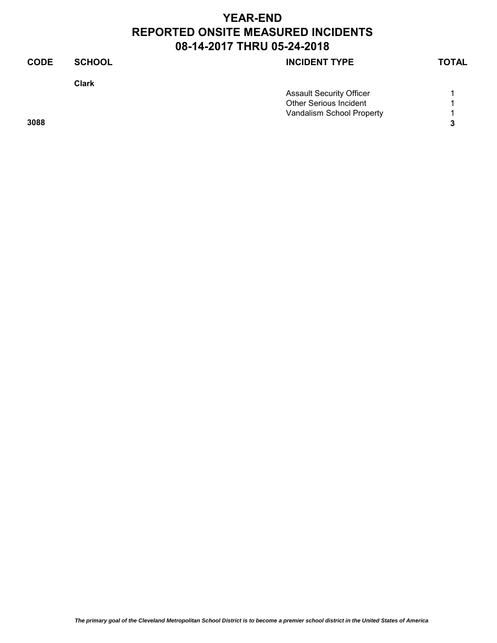| <b>CODE</b> | <b>SCHOOL</b> | <b>INCIDENT TYPE</b>            | <b>TOTAL</b> |
|-------------|---------------|---------------------------------|--------------|
|             | <b>Clark</b>  |                                 |              |
|             |               | <b>Assault Security Officer</b> |              |
|             |               | <b>Other Serious Incident</b>   |              |
|             |               | Vandalism School Property       |              |
| 3088        |               |                                 | 3            |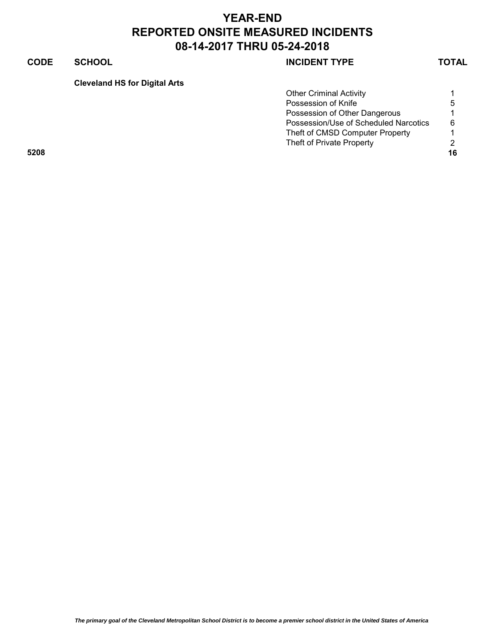## **CODE SCHOOL SCHOOL INCIDENT TYPE TOTAL**

**Cleveland HS for Digital Arts**

|      | <b>Other Criminal Activity</b>        |    |
|------|---------------------------------------|----|
|      | Possession of Knife                   | 5  |
|      | Possession of Other Dangerous         |    |
|      | Possession/Use of Scheduled Narcotics | 6  |
|      | Theft of CMSD Computer Property       |    |
|      | Theft of Private Property             |    |
| 5208 |                                       | 16 |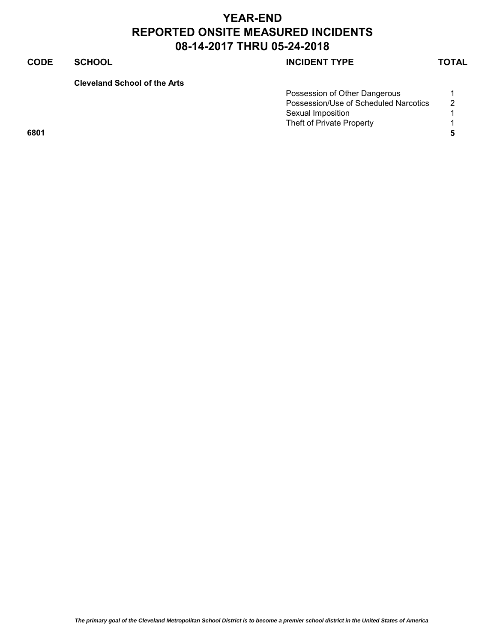## **CODE SCHOOL SCHOOL SCHOOL**

**Cleveland School of the Arts** 

|      | Possession of Other Dangerous         |   |
|------|---------------------------------------|---|
|      | Possession/Use of Scheduled Narcotics | 2 |
|      | Sexual Imposition                     |   |
|      | Theft of Private Property             |   |
| 6801 |                                       |   |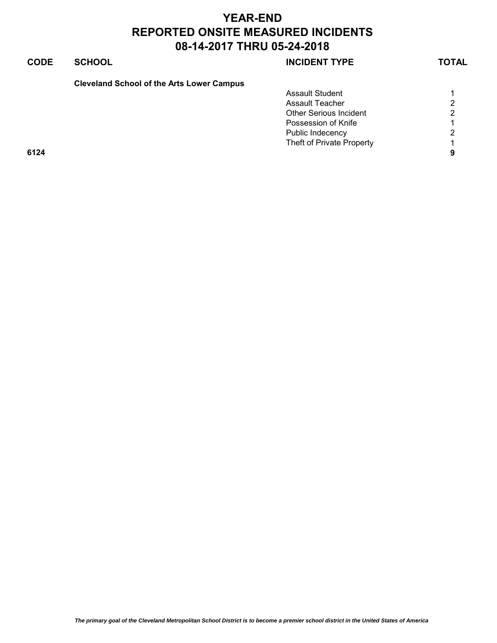## **CODE SCHOOL SCHOOL SCHOOL**

**Cleveland School of the Arts Lower Campus** 

|      | <b>Assault Student</b>        |          |
|------|-------------------------------|----------|
|      | <b>Assault Teacher</b>        | 2        |
|      | <b>Other Serious Incident</b> | 2        |
|      | Possession of Knife           |          |
|      | Public Indecency              | 2        |
|      | Theft of Private Property     | 4        |
| 6124 |                               | $\Omega$ |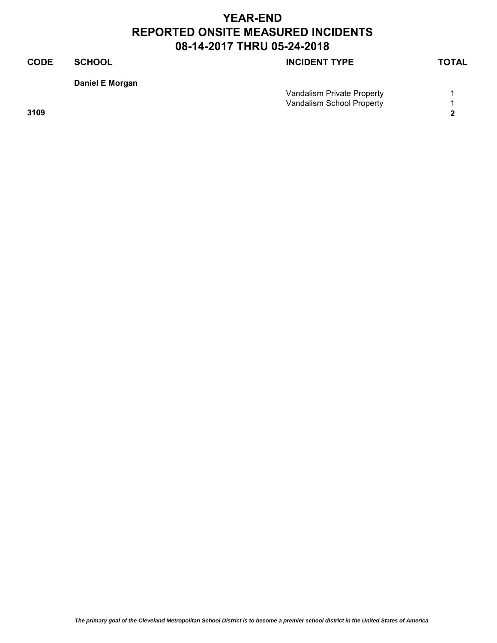## **CODE SCHOOL SCHOOL SCHOOL Daniel E Morgan** Vandalism Private Property **1** Vandalism School Property **1 3109 2**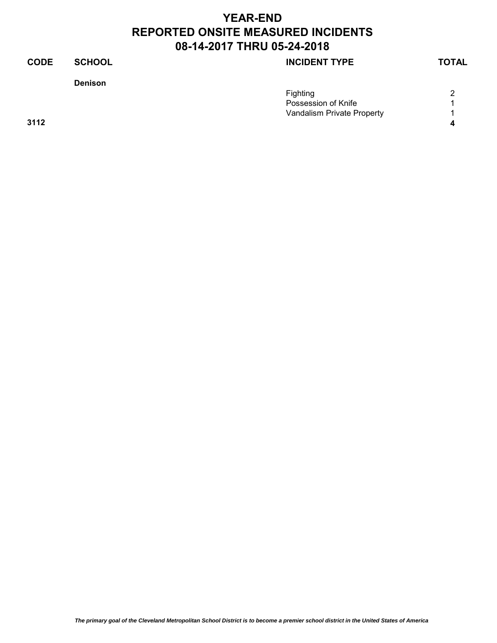### **Denison**

## **CODE SCHOOL SCHOOL INCIDENT TYPE TOTAL**

|      | Fighting                   | $\sim$ |
|------|----------------------------|--------|
|      | Possession of Knife        |        |
|      | Vandalism Private Property |        |
| 3112 |                            |        |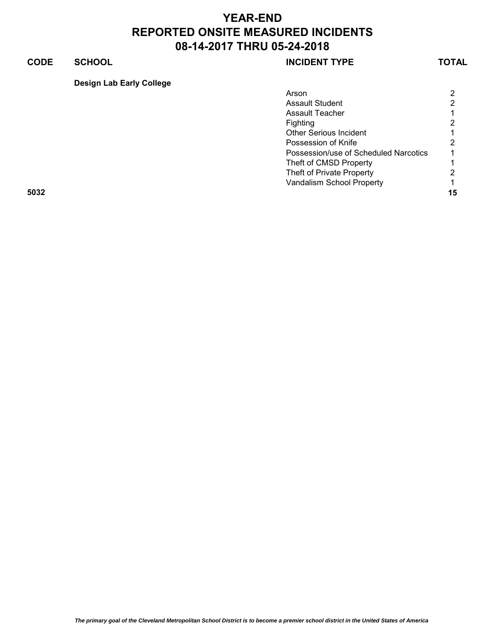## **CODE SCHOOL SCHOOL INCIDENT TYPE TOTAL**

**Design Lab Early College**

| Arson                                 | $\overline{2}$ |
|---------------------------------------|----------------|
| <b>Assault Student</b>                | $\overline{2}$ |
| <b>Assault Teacher</b>                | 1.             |
| <b>Fighting</b>                       | $\overline{2}$ |
| <b>Other Serious Incident</b>         | 1.             |
| Possession of Knife                   | 2              |
| Possession/use of Scheduled Narcotics |                |
| Theft of CMSD Property                |                |
| Theft of Private Property             | $\overline{2}$ |
| Vandalism School Property             | 1.             |
| 5032                                  | 15             |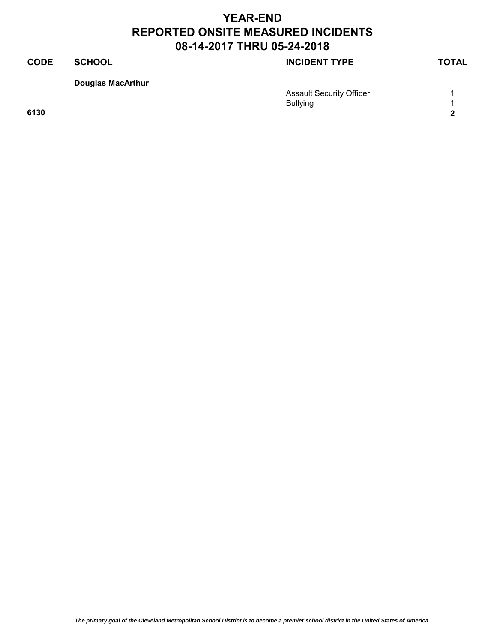# **CODE SCHOOL SCHOOL INCIDENT TYPE TOTAL**

**Douglas MacArthur**

|      | <b>Assault Security Officer</b> |                |
|------|---------------------------------|----------------|
|      | <b>Bullying</b>                 | $\overline{ }$ |
| 6130 |                                 | $\sqrt{2}$     |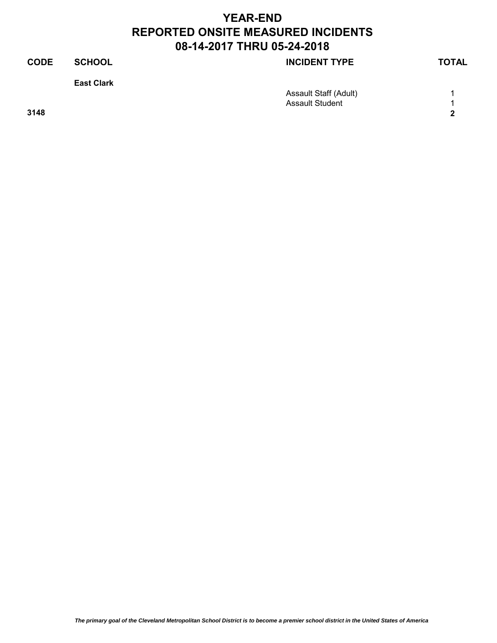| <b>CODE</b> | <b>SCHOOL</b>     | <b>INCIDENT TYPE</b>   | <b>TOTAL</b>               |
|-------------|-------------------|------------------------|----------------------------|
|             | <b>East Clark</b> |                        |                            |
|             |                   | Assault Staff (Adult)  |                            |
|             |                   | <b>Assault Student</b> |                            |
| 3148        |                   |                        | $\boldsymbol{\mathcal{P}}$ |
|             |                   |                        |                            |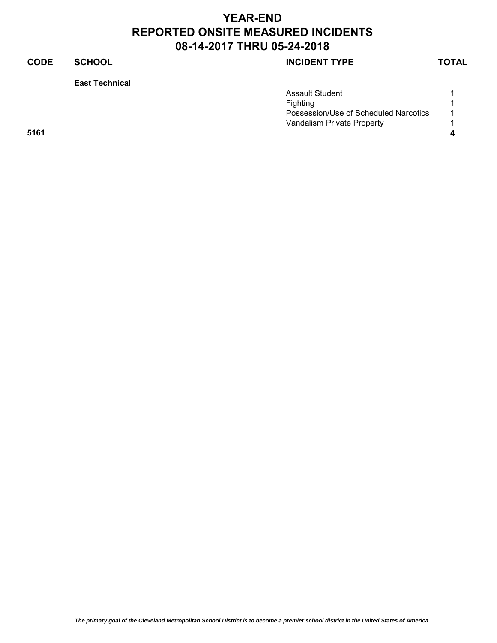## **CODE SCHOOL SCHOOL INCIDENT TYPE TOTAL**

**East Technical**

|      | <b>Assault Student</b>                |                |
|------|---------------------------------------|----------------|
|      | Fighting                              |                |
|      | Possession/Use of Scheduled Narcotics | $\overline{A}$ |
|      | Vandalism Private Property            |                |
| 5161 |                                       |                |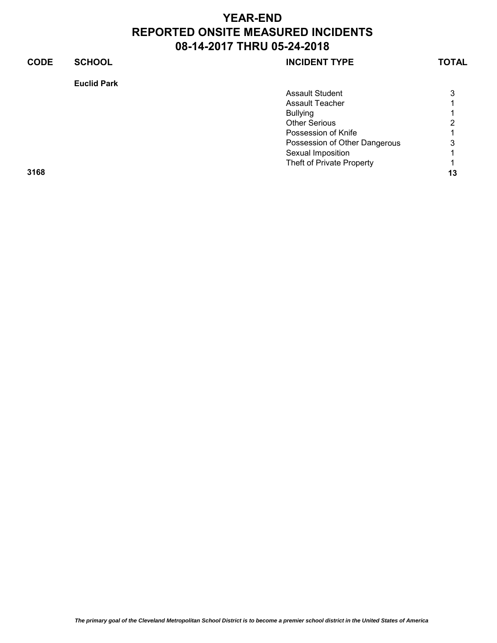## **CODE SCHOOL SCHOOL INCIDENT TYPE TOTAL**

### **Euclid Park**

|      | <b>Assault Student</b>        | 3                    |
|------|-------------------------------|----------------------|
|      | <b>Assault Teacher</b>        | $\mathbf{1}$         |
|      | <b>Bullying</b>               | $\blacktriangleleft$ |
|      | <b>Other Serious</b>          | 2                    |
|      | Possession of Knife           | 1.                   |
|      | Possession of Other Dangerous | 3                    |
|      | Sexual Imposition             | $\mathbf 1$          |
|      | Theft of Private Property     | 1                    |
| 3168 |                               | 13                   |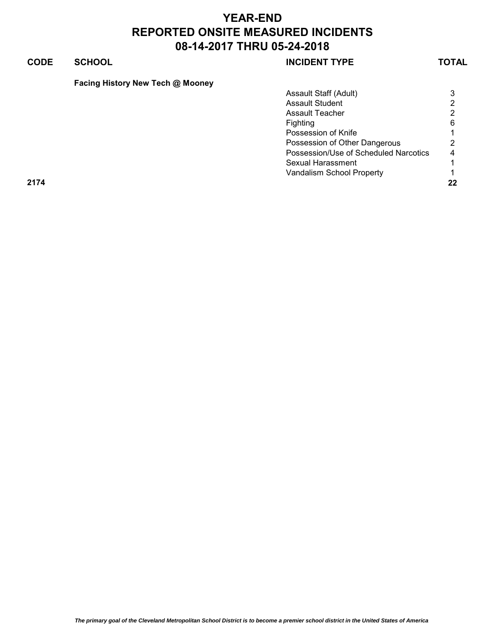| <b>CODE</b> | <b>SCHOOL</b>                    | <b>INCIDENT TYPE</b>                  | <b>TOTAL</b> |
|-------------|----------------------------------|---------------------------------------|--------------|
|             | Facing History New Tech @ Mooney |                                       |              |
|             |                                  | Assault Staff (Adult)                 | 3            |
|             |                                  | Assault Student                       | 2            |
|             |                                  | <b>Assault Teacher</b>                | 2            |
|             |                                  | <b>Fighting</b>                       | 6            |
|             |                                  | Possession of Knife                   |              |
|             |                                  | Possession of Other Dangerous         | 2            |
|             |                                  | Possession/Use of Scheduled Narcotics | 4            |
|             |                                  | Sexual Harassment                     |              |
|             |                                  | Vandalism School Property             |              |
| 2174        |                                  |                                       | 22           |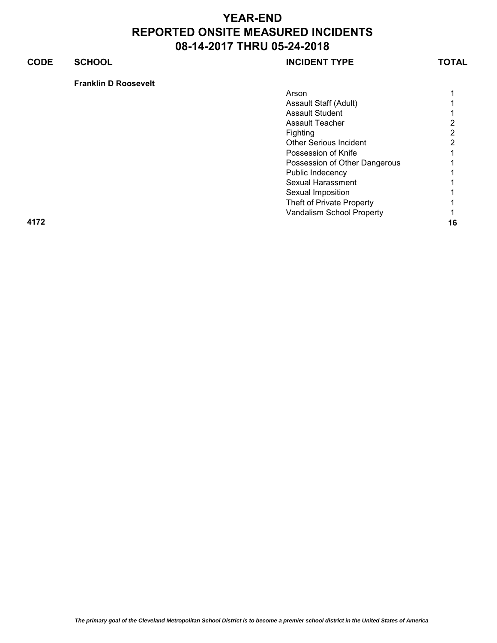## **CODE SCHOOL SCHOOL INCIDENT TYPE TOTAL**

**Franklin D Roosevelt**

| Arson                         |   |
|-------------------------------|---|
| Assault Staff (Adult)         |   |
| <b>Assault Student</b>        |   |
| <b>Assault Teacher</b>        | 2 |
| Fighting                      | 2 |
| <b>Other Serious Incident</b> | 2 |
| Possession of Knife           |   |
| Possession of Other Dangerous |   |
| Public Indecency              |   |
| <b>Sexual Harassment</b>      |   |
| Sexual Imposition             |   |
| Theft of Private Property     |   |
|                               |   |

Vandalism School Property **1** 

**4172 16**

*The primary goal of the Cleveland Metropolitan School District is to become a premier school district in the United States of America*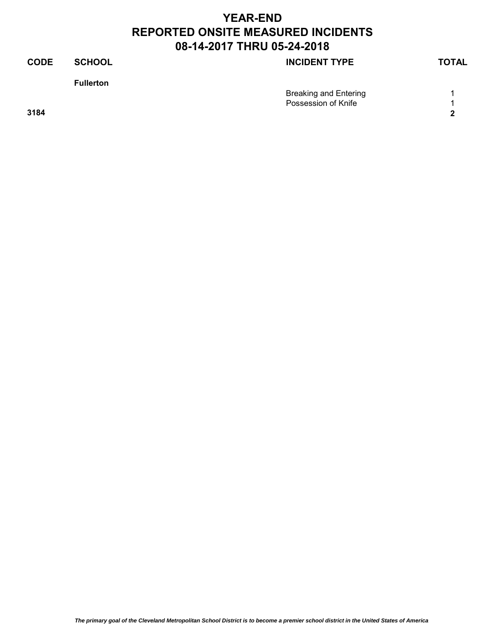| <b>TOTAL</b>                                                                |
|-----------------------------------------------------------------------------|
|                                                                             |
|                                                                             |
|                                                                             |
| $\mathbf{2}$                                                                |
|                                                                             |
| <b>INCIDENT TYPE</b><br><b>Breaking and Entering</b><br>Possession of Knife |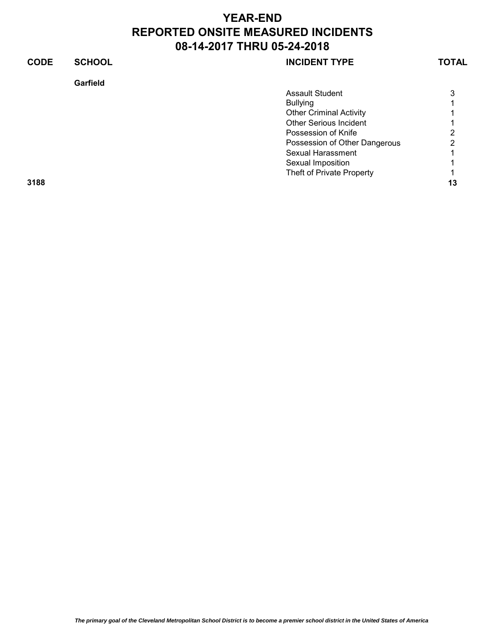| <b>CODE</b> | <b>SCHOOL</b> | <b>INCIDENT TYPE</b>           | <b>TOTAL</b> |
|-------------|---------------|--------------------------------|--------------|
|             | Garfield      |                                |              |
|             |               | <b>Assault Student</b>         | 3            |
|             |               | <b>Bullying</b>                |              |
|             |               | <b>Other Criminal Activity</b> |              |
|             |               | <b>Other Serious Incident</b>  |              |
|             |               | Possession of Knife            |              |
|             |               | Possession of Other Dangerous  | າ            |
|             |               | Sexual Harassment              |              |
|             |               | Sexual Imposition              |              |
|             |               | Theft of Private Property      |              |
| 3188        |               |                                | 13           |
|             |               |                                |              |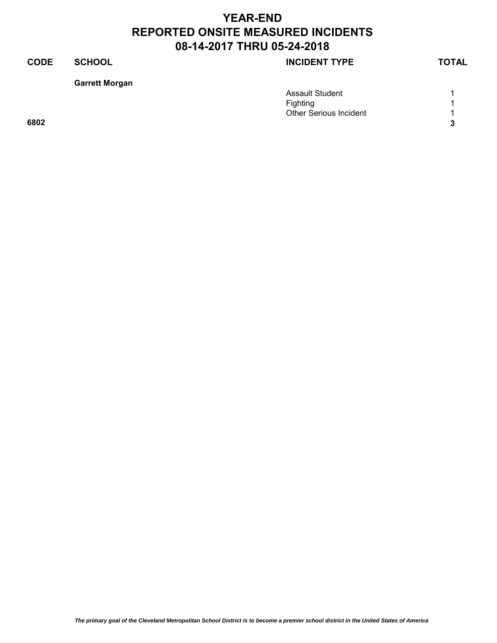## **CODE SCHOOL SCHOOL INCIDENT TYPE TOTAL**

**Garrett Morgan**

|      | <b>Assault Student</b>        |   |
|------|-------------------------------|---|
|      | Fighting                      |   |
|      | <b>Other Serious Incident</b> |   |
| 6802 |                               | ◠ |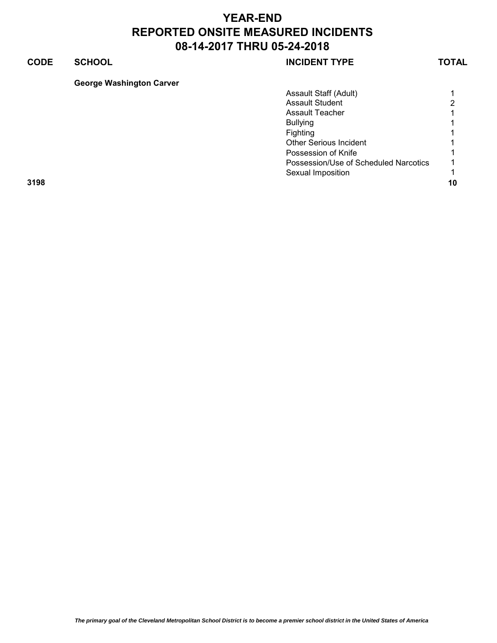## **CODE SCHOOL SCHOOL SCHOOL**

### **George Washington Carver**

|      | Assault Staff (Adult)                 |                      |
|------|---------------------------------------|----------------------|
|      | <b>Assault Student</b>                | 2                    |
|      | <b>Assault Teacher</b>                | $\mathbf{1}$         |
|      | <b>Bullying</b>                       | 1                    |
|      | Fighting                              | $\mathbf{1}$         |
|      | <b>Other Serious Incident</b>         | $\blacktriangleleft$ |
|      | Possession of Knife                   | $\mathbf 1$          |
|      | Possession/Use of Scheduled Narcotics | 1                    |
|      | Sexual Imposition                     |                      |
| 3198 |                                       | 10                   |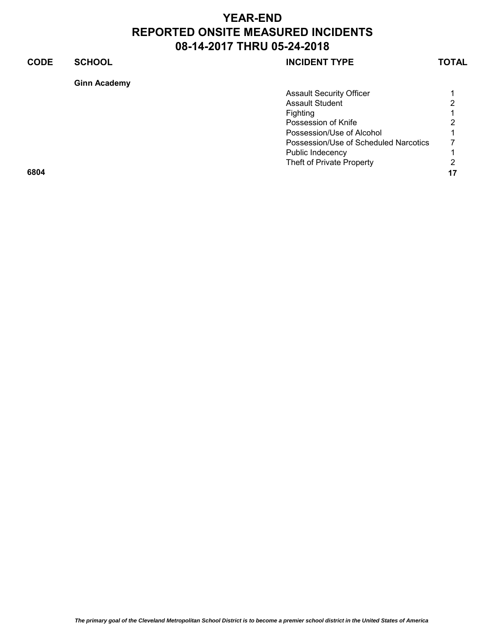## **CODE SCHOOL SCHOOL SCHOOL**

Theft of Private Property 2

| <b>Ginn Academy</b> |                             |
|---------------------|-----------------------------|
|                     | <b>Assault Security Off</b> |
|                     | <b>Assault Student</b>      |
|                     | Fighting                    |
|                     | Possession of Knife         |
|                     | Possession/Use of /         |
|                     | Possession/Use of \$        |

**6804 17**

Assault Security Officer **1** 1 Assault Student 2008 - 2009 2014 2022 Fighting 1 Possession of Knife 2 Possession/Use of Alcohol 1 Scheduled Narcotics 7 Public Indecency 2002 1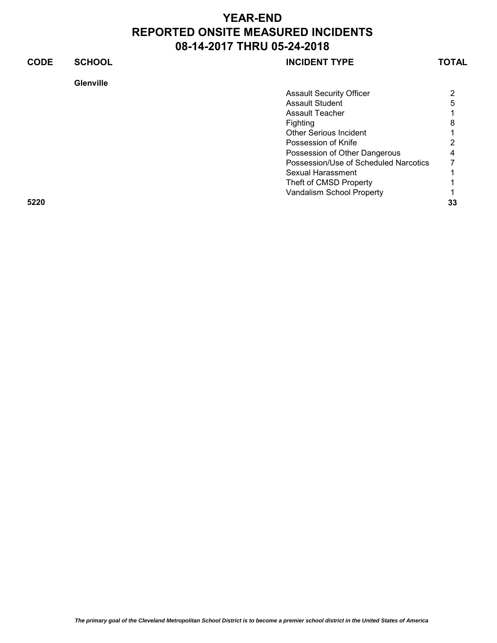| <b>CODE</b> | <b>SCHOOL</b>    | <b>INCIDENT TYPE</b>                  | TOTAL |
|-------------|------------------|---------------------------------------|-------|
|             | <b>Glenville</b> |                                       |       |
|             |                  | <b>Assault Security Officer</b>       | 2     |
|             |                  | <b>Assault Student</b>                | 5     |
|             |                  | <b>Assault Teacher</b>                |       |
|             |                  | Fighting                              | 8     |
|             |                  | <b>Other Serious Incident</b>         |       |
|             |                  | Possession of Knife                   |       |
|             |                  | Possession of Other Dangerous         | 4     |
|             |                  | Possession/Use of Scheduled Narcotics |       |
|             |                  | Sexual Harassment                     |       |
|             |                  | Theft of CMSD Property                |       |
|             |                  | Vandalism School Property             |       |
| 5220        |                  |                                       | 33    |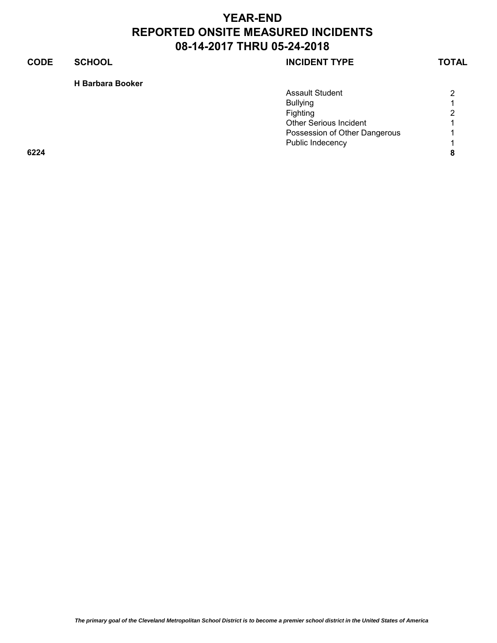### **CODE SCHOOL SCHOOL SCHOOL**

### **H Barbara Booker**

|      | <b>Assault Student</b>        | 2                        |
|------|-------------------------------|--------------------------|
|      | <b>Bullying</b>               | 4                        |
|      | Fighting                      | 2                        |
|      | <b>Other Serious Incident</b> |                          |
|      | Possession of Other Dangerous | $\overline{\phantom{a}}$ |
|      | Public Indecency              | $\overline{ }$           |
| 6224 |                               | 8                        |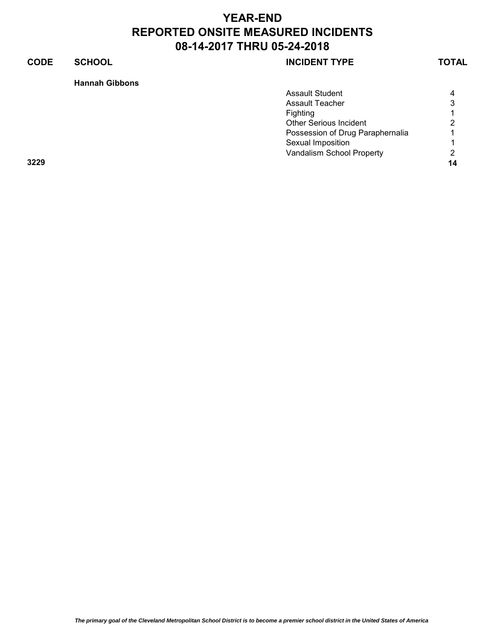### **CODE SCHOOL SCHOOL INCIDENT TYPE TOTAL**

**Hannah Gibbons**

|      | <b>Assault Student</b>           | 4  |
|------|----------------------------------|----|
|      | <b>Assault Teacher</b>           | 3  |
|      | Fighting                         |    |
|      | <b>Other Serious Incident</b>    | 2  |
|      | Possession of Drug Paraphernalia | 1  |
|      | Sexual Imposition                |    |
|      | Vandalism School Property        | 2  |
| 3229 |                                  | 14 |
|      |                                  |    |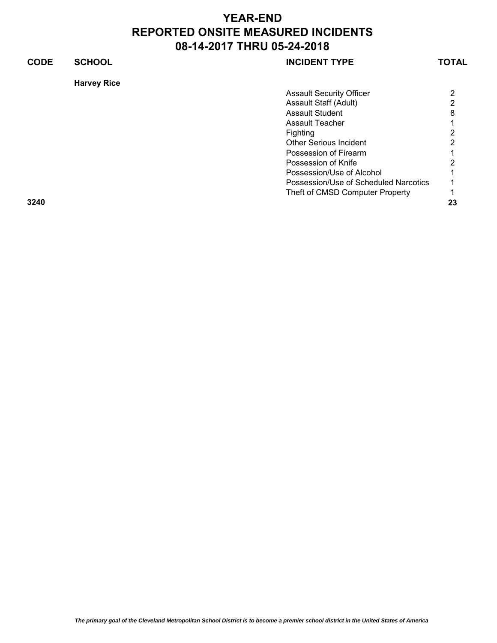| <b>CODE</b> | <b>SCHOOL</b>      | <b>INCIDENT TYPE</b>                  | <b>TOTAL</b> |
|-------------|--------------------|---------------------------------------|--------------|
|             | <b>Harvey Rice</b> |                                       |              |
|             |                    | <b>Assault Security Officer</b>       | 2            |
|             |                    | Assault Staff (Adult)                 | 2            |
|             |                    | <b>Assault Student</b>                | 8            |
|             |                    | <b>Assault Teacher</b>                |              |
|             |                    | Fighting                              | 2            |
|             |                    | <b>Other Serious Incident</b>         | 2            |
|             |                    | Possession of Firearm                 |              |
|             |                    | Possession of Knife                   | 2            |
|             |                    | Possession/Use of Alcohol             |              |
|             |                    | Possession/Use of Scheduled Narcotics |              |
|             |                    | Theft of CMSD Computer Property       |              |
| 3240        |                    |                                       | 23           |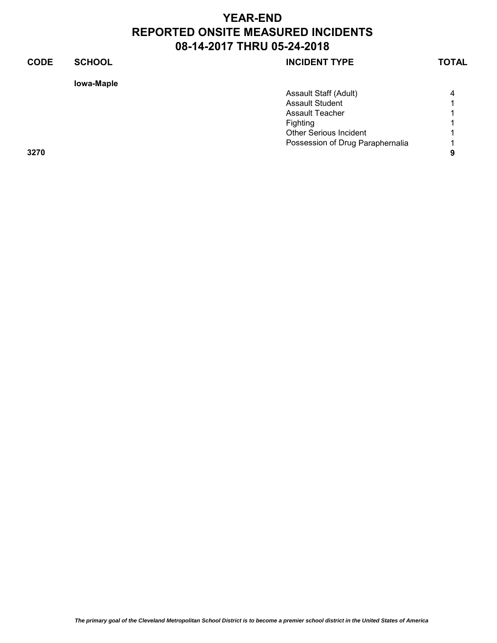### **CODE SCHOOL SCHOOL INCIDENT TYPE TOTAL**

### **Iowa-Maple**

|      | <b>Assault Staff (Adult)</b>     | Δ                        |
|------|----------------------------------|--------------------------|
|      | <b>Assault Student</b>           |                          |
|      | <b>Assault Teacher</b>           |                          |
|      | Fighting                         |                          |
|      | <b>Other Serious Incident</b>    |                          |
|      | Possession of Drug Paraphernalia | $\overline{\phantom{a}}$ |
| 3270 |                                  | Ω                        |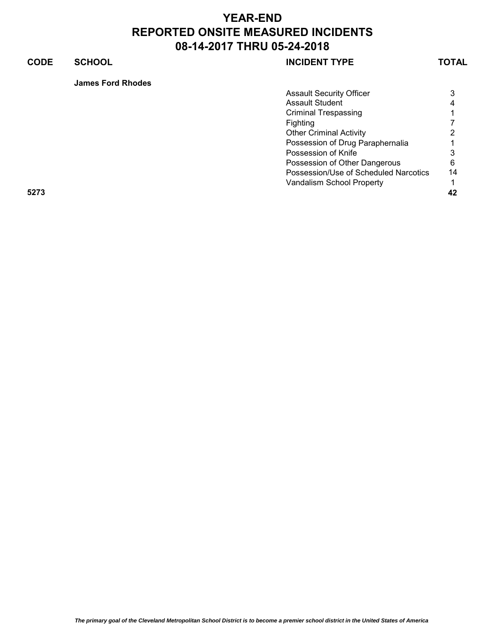### **CODE SCHOOL SCHOOL SCHOOL**

**James Ford Rhodes**

| <b>Assault Security Officer</b>       | 3  |
|---------------------------------------|----|
| <b>Assault Student</b>                | 4  |
| Criminal Trespassing                  |    |
| Fighting                              |    |
| <b>Other Criminal Activity</b>        | 2  |
| Possession of Drug Paraphernalia      |    |
| Possession of Knife                   | 3  |
| Possession of Other Dangerous         | 6  |
| Possession/Use of Scheduled Narcotics | 14 |
| Vandalism School Property             |    |
|                                       |    |

**5273 42**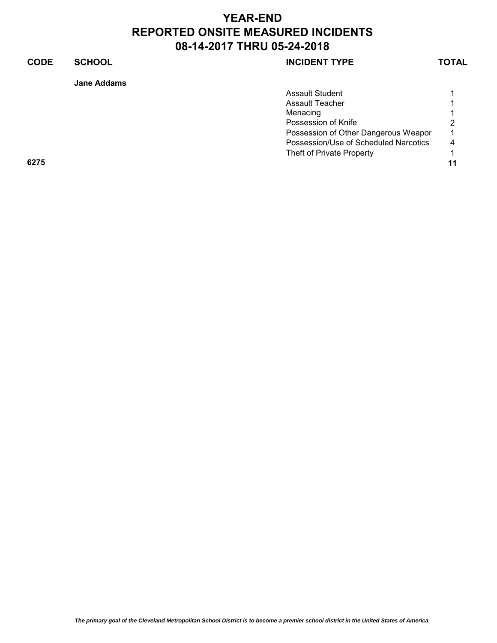| Jane Addams |
|-------------|
|             |

|      | <b>Assault Student</b>                |    |
|------|---------------------------------------|----|
|      | Assault Teacher                       |    |
|      | Menacing                              |    |
|      | Possession of Knife                   | 2  |
|      | Possession of Other Dangerous Weapor  | 1  |
|      | Possession/Use of Scheduled Narcotics | 4  |
|      | Theft of Private Property             |    |
| 6275 |                                       | 11 |
|      |                                       |    |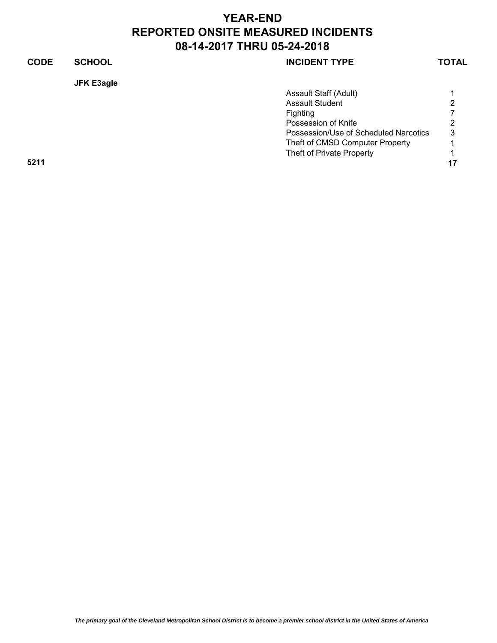| <b>CODE</b> | <b>SCHOOL</b>     | <b>INCIDENT TYPE</b>                  | <b>TOTAL</b> |
|-------------|-------------------|---------------------------------------|--------------|
|             | <b>JFK E3agle</b> |                                       |              |
|             |                   | Assault Staff (Adult)                 |              |
|             |                   | <b>Assault Student</b>                | っ            |
|             |                   | Fighting                              |              |
|             |                   | Possession of Knife                   | 2            |
|             |                   | Possession/Use of Scheduled Narcotics | 3            |
|             |                   | Theft of CMSD Computer Property       |              |
|             |                   | Theft of Private Property             |              |
| 5211        |                   |                                       | 17           |
|             |                   |                                       |              |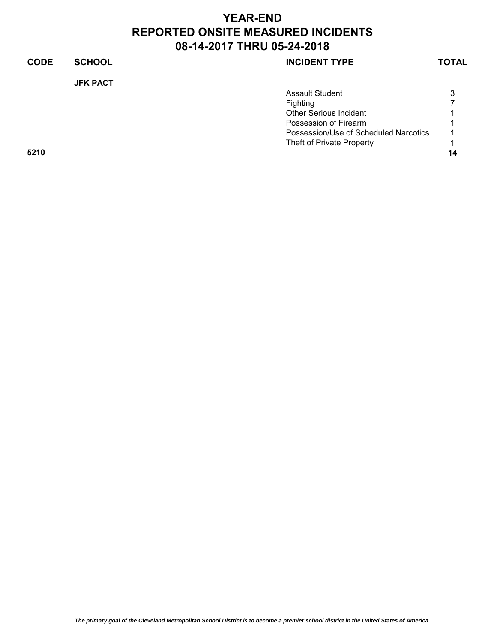| <b>CODE</b> | <b>SCHOOL</b>   | <b>INCIDENT TYPE</b>                  | <b>TOTAL</b> |
|-------------|-----------------|---------------------------------------|--------------|
|             | <b>JFK PACT</b> |                                       |              |
|             |                 | Assault Student                       | 3            |
|             |                 | Fighting                              |              |
|             |                 | <b>Other Serious Incident</b>         |              |
|             |                 | Possession of Firearm                 |              |
|             |                 | Possession/Use of Scheduled Narcotics |              |
|             |                 | Theft of Private Property             |              |
| 5210        |                 |                                       | 14           |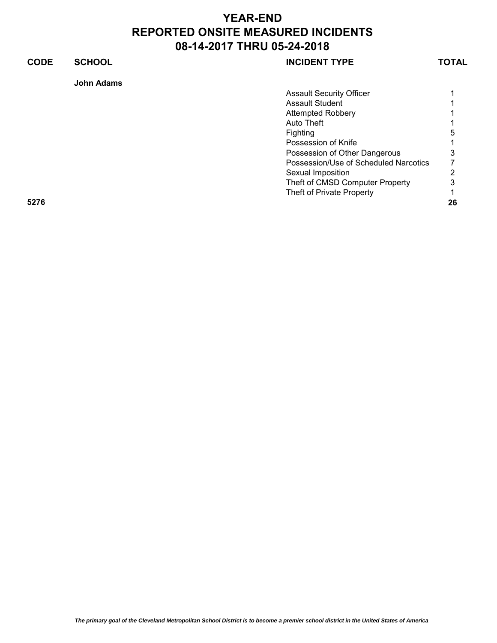### **CODE SCHOOL SCHOOL INCIDENT TYPE TOTAL John Adams** Assault Security Officer **1** 1 Assault Student 1 Attempted Robbery 1 Auto Theft 1 Fighting 5 Possession of Knife 1 1 Possession of Other Dangerous 3<br>Possession/Use of Scheduled Narcotics 7 Possession/Use of Scheduled Narcotics 7 Sexual Imposition 2 Theft of CMSD Computer Property 3 Theft of Private Property 1 **5276 26**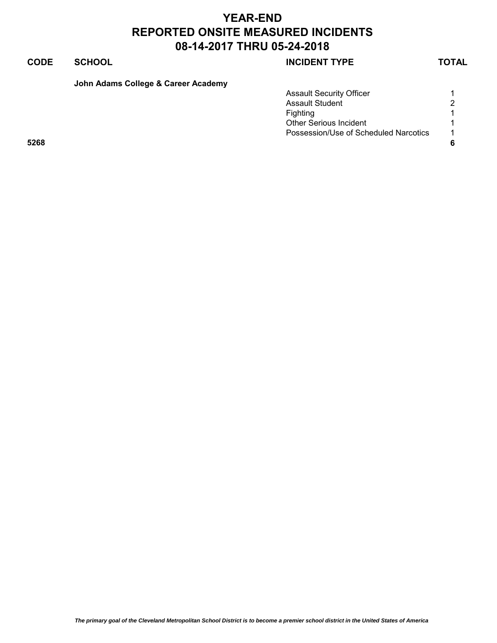| John Adams College & Career Academy |  |  |  |  |
|-------------------------------------|--|--|--|--|
|-------------------------------------|--|--|--|--|

|      | <b>Assault Security Officer</b>       |                |
|------|---------------------------------------|----------------|
|      | <b>Assault Student</b>                | 2              |
|      | Fighting                              |                |
|      | <b>Other Serious Incident</b>         |                |
|      | Possession/Use of Scheduled Narcotics | $\overline{1}$ |
| 5268 |                                       | 6              |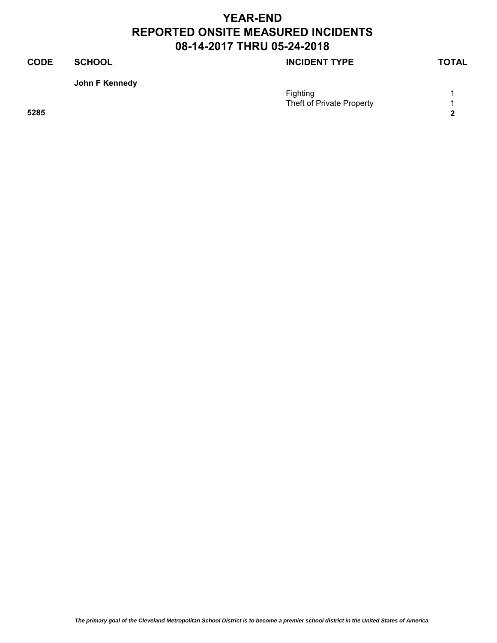### **CODE SCHOOL SCHOOL INCIDENT TYPE TOTAL**

### **John F Kennedy**

| ___  | Fighting<br>Theft of Private Property |            |
|------|---------------------------------------|------------|
| 5285 |                                       | $\sqrt{2}$ |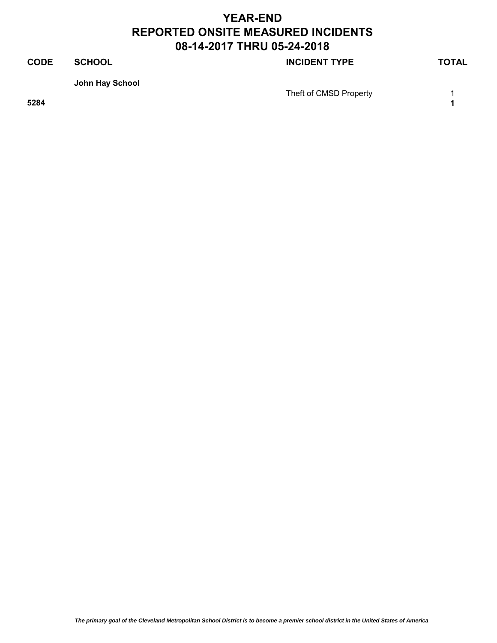## **CODE SCHOOL SCHOOL SCHOOL John Hay School**  Theft of CMSD Property 1 **5284 1**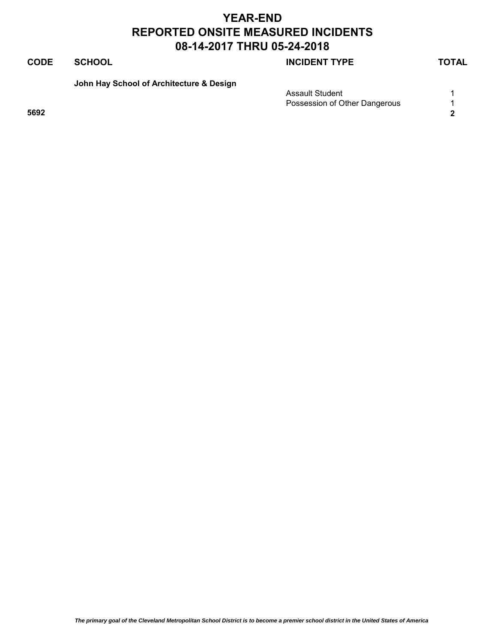### **CODE SCHOOL SCHOOL INCIDENT TYPE TOTAL**

**John Hay School of Architecture & Design**

| Assault Student               |   |
|-------------------------------|---|
| Possession of Other Dangerous |   |
| 5692                          | ◠ |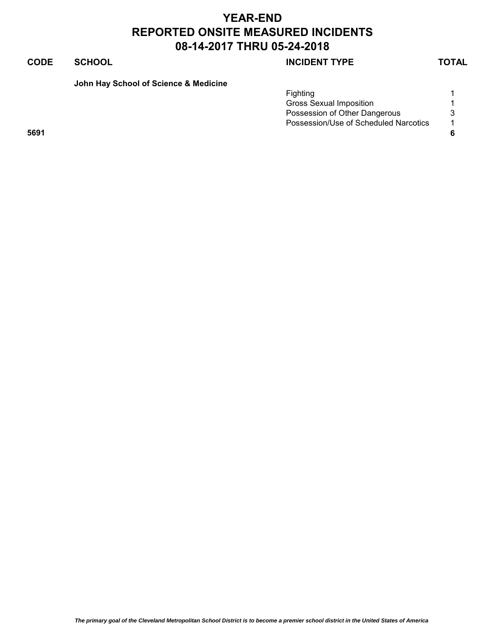### **CODE SCHOOL SCHOOL SCHOOL**

**John Hay School of Science & Medicine**

|      | Fiahtina                              |                |
|------|---------------------------------------|----------------|
|      | Gross Sexual Imposition               |                |
|      | Possession of Other Dangerous         | 3              |
|      | Possession/Use of Scheduled Narcotics | $\overline{A}$ |
| 5691 |                                       |                |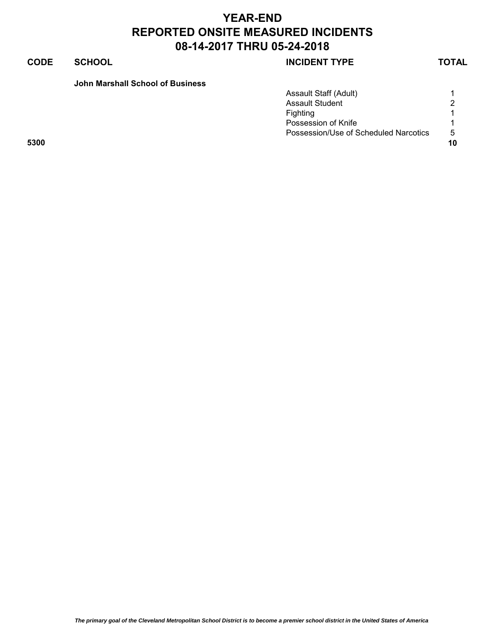### **CODE SCHOOL SCHOOL SCHOOL**

### **John Marshall School of Business**

|      | <b>Assault Staff (Adult)</b>          |    |
|------|---------------------------------------|----|
|      | <b>Assault Student</b>                | 2  |
|      | Fighting                              |    |
|      | Possession of Knife                   |    |
|      | Possession/Use of Scheduled Narcotics | -5 |
| 5300 |                                       | 10 |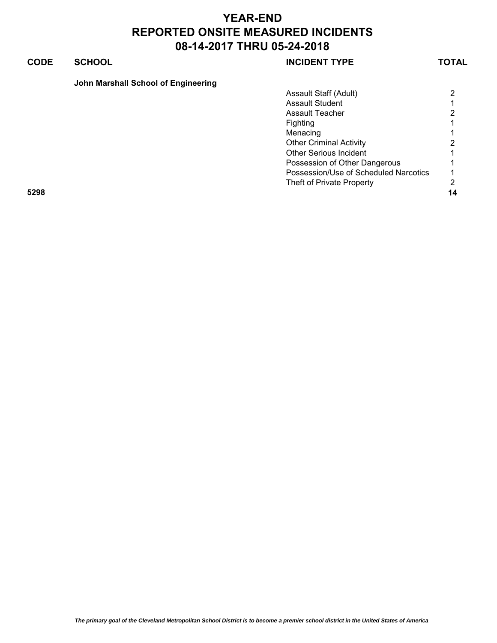### **CODE SCHOOL SCHOOL SCHOOL**

|      | Assault Staff (Adult)                 | $\overline{2}$ |
|------|---------------------------------------|----------------|
|      | <b>Assault Student</b>                |                |
|      | Assault Teacher                       | 2              |
|      | <b>Fighting</b>                       | 1.             |
|      | Menacing                              | $\mathbf 1$    |
|      | <b>Other Criminal Activity</b>        | 2              |
|      | <b>Other Serious Incident</b>         |                |
|      | Possession of Other Dangerous         |                |
|      | Possession/Use of Scheduled Narcotics |                |
|      | Theft of Private Property             | 2              |
| 5298 |                                       | 14             |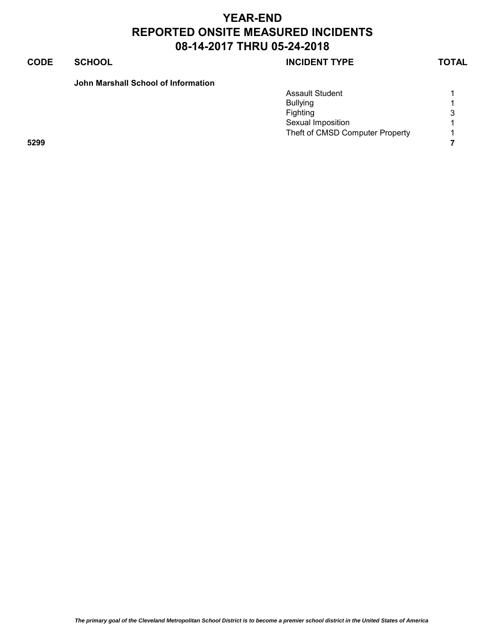### **CODE SCHOOL SCHOOL SCHOOL**

### **John Marshall School of Information**

|      | <b>Assault Student</b>          |   |
|------|---------------------------------|---|
|      | <b>Bullying</b>                 |   |
|      | Fighting                        | 3 |
|      | Sexual Imposition               |   |
|      | Theft of CMSD Computer Property |   |
| 5299 |                                 |   |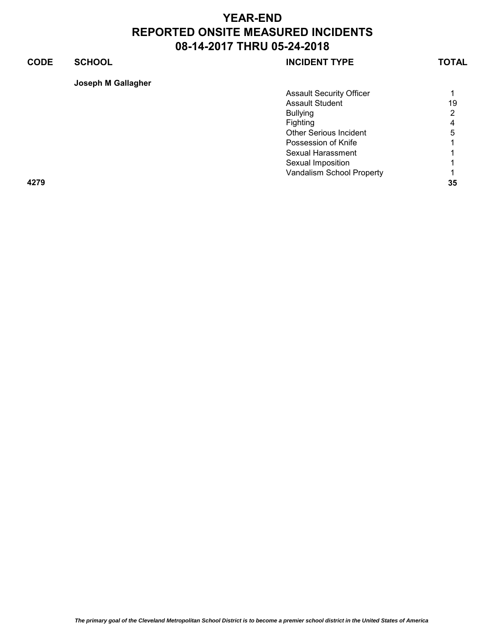### **CODE SCHOOL SCHOOL INCIDENT TYPE TOTAL**

| Joseph M Gallagher |                                 |              |
|--------------------|---------------------------------|--------------|
|                    | <b>Assault Security Officer</b> | 1.           |
|                    | <b>Assault Student</b>          | 19           |
|                    | <b>Bullying</b>                 | 2            |
|                    | Fighting                        | 4            |
|                    | <b>Other Serious Incident</b>   | 5            |
|                    | Possession of Knife             | $\mathbf 1$  |
|                    | Sexual Harassment               | 1.           |
|                    | Sexual Imposition               | 1.           |
|                    | Vandalism School Property       | $\mathbf{1}$ |
| 4279               |                                 | 35           |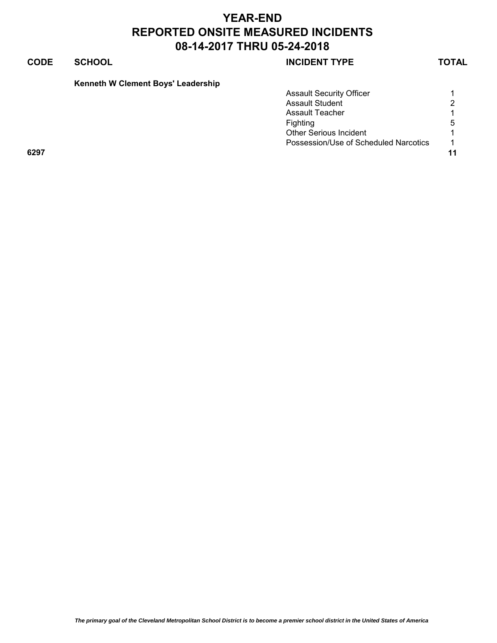|  |  |  |  | Kenneth W Clement Boys' Leadership |
|--|--|--|--|------------------------------------|
|--|--|--|--|------------------------------------|

|      | <b>Assault Security Officer</b>       |                |
|------|---------------------------------------|----------------|
|      | <b>Assault Student</b>                | 2              |
|      | Assault Teacher                       |                |
|      | Fighting                              | 5              |
|      | <b>Other Serious Incident</b>         |                |
|      | Possession/Use of Scheduled Narcotics | $\overline{ }$ |
| 6297 |                                       | 11             |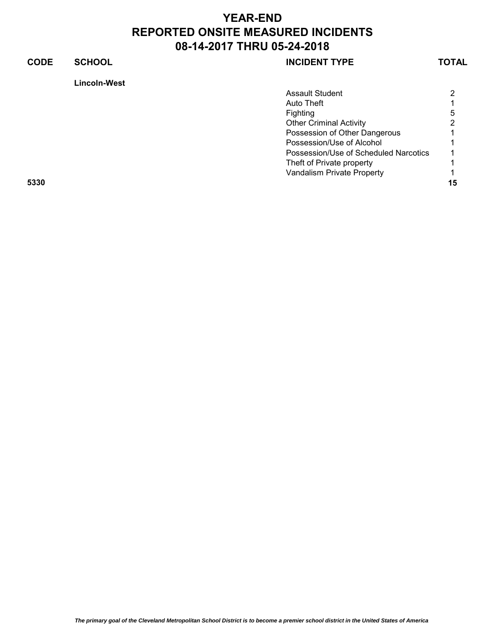|      | <b>Lincoln-West</b> |                                       |    |
|------|---------------------|---------------------------------------|----|
|      |                     | <b>Assault Student</b>                |    |
|      |                     | Auto Theft                            |    |
|      |                     | Fighting                              | h. |
|      |                     | <b>Other Criminal Activity</b>        |    |
|      |                     | Possession of Other Dangerous         |    |
|      |                     | Possession/Use of Alcohol             |    |
|      |                     | Possession/Use of Scheduled Narcotics |    |
|      |                     | Theft of Private property             |    |
|      |                     | Vandalism Private Property            |    |
| 5330 |                     |                                       | 15 |
|      |                     |                                       |    |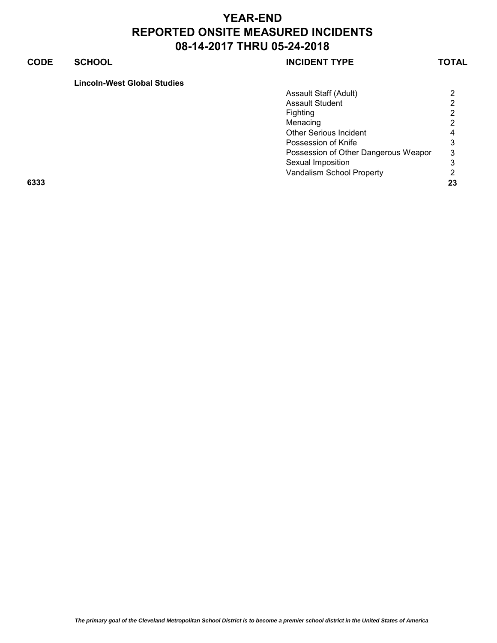|      | Assault Staff (Adult)                | 2  |
|------|--------------------------------------|----|
|      | <b>Assault Student</b>               | 2  |
|      | Fighting                             | 2  |
|      | Menacing                             | 2  |
|      | <b>Other Serious Incident</b>        | 4  |
|      | Possession of Knife                  | 3  |
|      | Possession of Other Dangerous Weapor | 3  |
|      | Sexual Imposition                    | 3  |
|      | Vandalism School Property            | 2  |
| 6333 |                                      | 23 |
|      |                                      |    |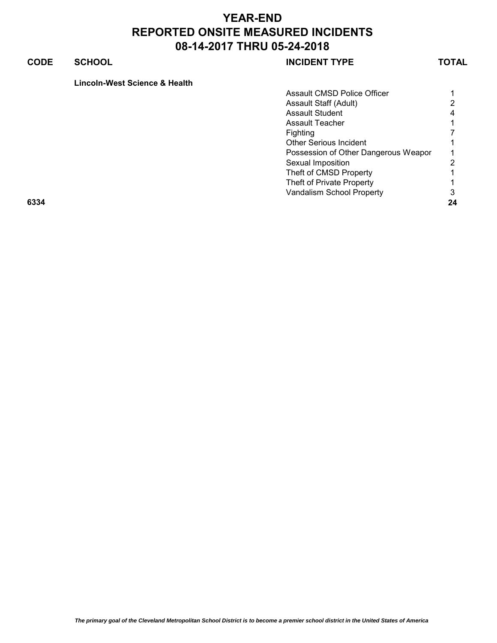|      | <b>Assault CMSD Police Officer</b>   |                |
|------|--------------------------------------|----------------|
|      | Assault Staff (Adult)                | $\overline{2}$ |
|      | <b>Assault Student</b>               | 4              |
|      | Assault Teacher                      | 1.             |
|      | <b>Fighting</b>                      |                |
|      | <b>Other Serious Incident</b>        |                |
|      | Possession of Other Dangerous Weapor | 1.             |
|      | Sexual Imposition                    | 2              |
|      | Theft of CMSD Property               |                |
|      | Theft of Private Property            |                |
|      | Vandalism School Property            | 3              |
| 6334 |                                      | 24             |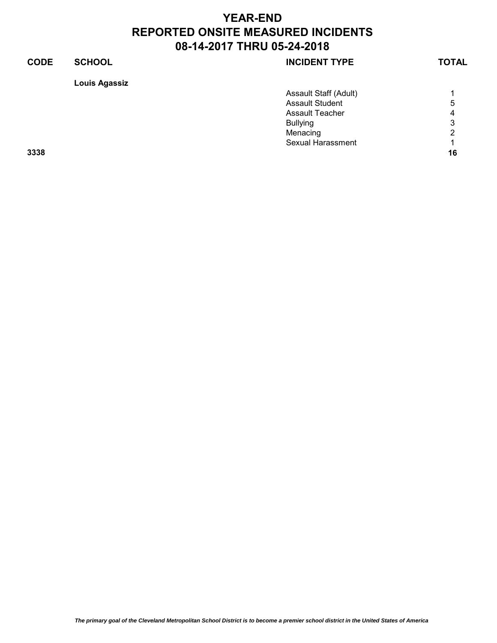| <b>CODE</b> | <b>SCHOOL</b>        | <b>INCIDENT TYPE</b>     | <b>TOTAL</b> |
|-------------|----------------------|--------------------------|--------------|
|             | <b>Louis Agassiz</b> |                          |              |
|             |                      | Assault Staff (Adult)    |              |
|             |                      | <b>Assault Student</b>   | 5            |
|             |                      | <b>Assault Teacher</b>   | 4            |
|             |                      | <b>Bullying</b>          | 3            |
|             |                      | Menacing                 | 2            |
|             |                      | <b>Sexual Harassment</b> |              |
| 3338        |                      |                          | 16           |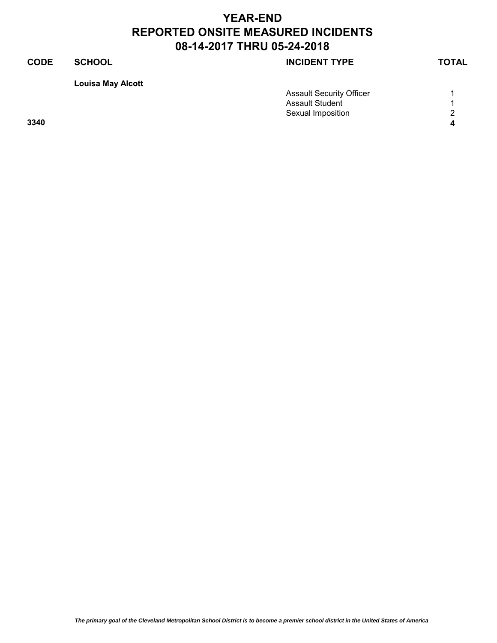# **CODE SCHOOL SCHOOL INCIDENT TYPE TOTAL Louisa May Alcott**

|      | <b>Assault Security Officer</b> |        |
|------|---------------------------------|--------|
|      | <b>Assault Student</b>          |        |
|      | Sexual Imposition               | $\sim$ |
| 3340 |                                 |        |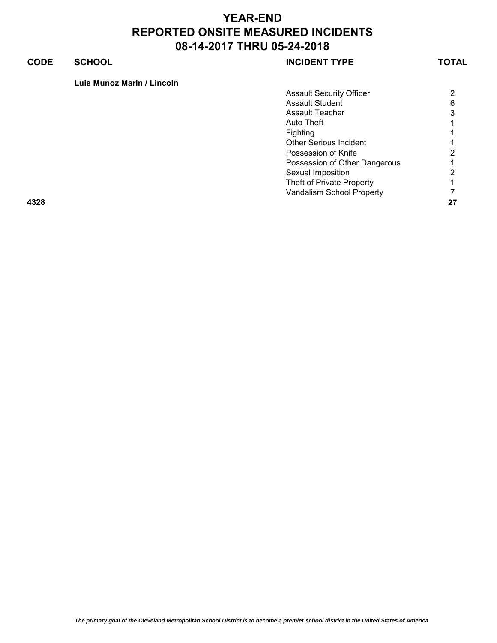| Luis Munoz Marin / Lincoln |  |  |
|----------------------------|--|--|
|----------------------------|--|--|

| $\overline{2}$ |
|----------------|
| 6              |
| 3              |
| 1.             |
| 1.             |
|                |
| 2              |
|                |
| 2              |
|                |
|                |
| 27             |
|                |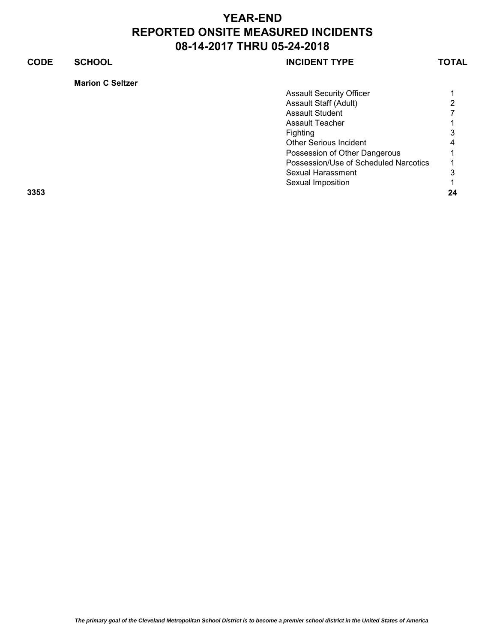## **CODE SCHOOL SCHOOL SCHOOL Marion C Seltzer** Assault Security Officer **1** 1 Assault Staff (Adult) 2<br>Assault Student 7 Assault Student

Assault Teacher 1 1 Fighting 3 Other Serious Incident 4 Possession of Other Dangerous 1 Possession/Use of Scheduled Narcotics 1 Sexual Harassment 3 Sexual Imposition 1 **3353 24**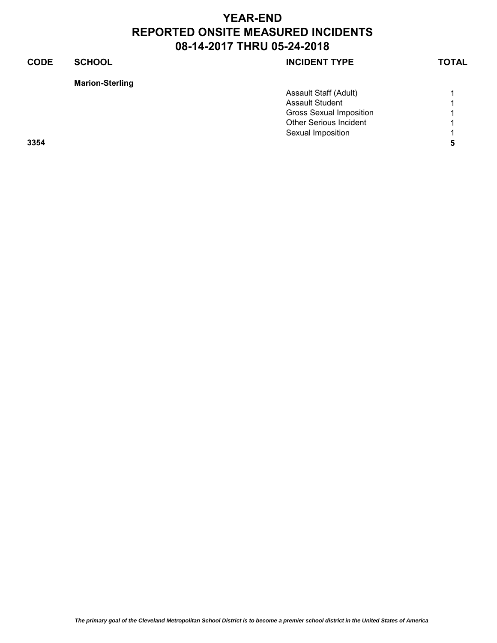| <b>Marion-Sterling</b> |  |
|------------------------|--|
|                        |  |

|      | <b>Assault Staff (Adult)</b>   |  |
|------|--------------------------------|--|
|      | <b>Assault Student</b>         |  |
|      | <b>Gross Sexual Imposition</b> |  |
|      | <b>Other Serious Incident</b>  |  |
|      | Sexual Imposition              |  |
| 3354 |                                |  |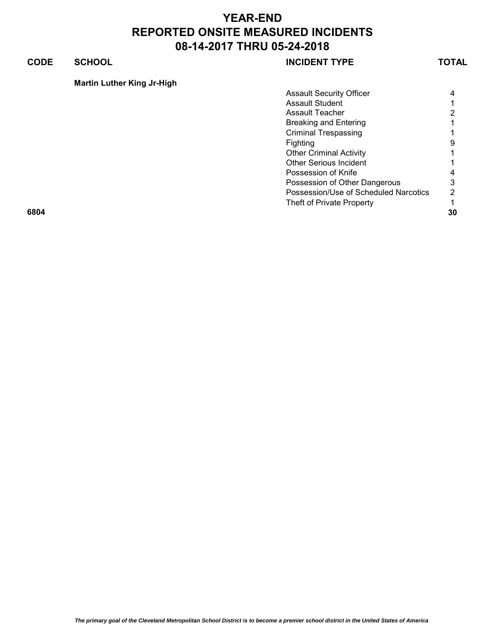### **CODE SCHOOL SCHOOL SCHOOL**

| <b>Martin Luther King Jr-High</b> |  |
|-----------------------------------|--|
|                                   |  |
|                                   |  |

| <b>Assault Security Officer</b><br><b>Assault Student</b><br><b>Assault Teacher</b><br><b>Breaking and Entering</b><br><b>Criminal Trespassing</b> | 4<br>1.<br>$\overline{2}$ |
|----------------------------------------------------------------------------------------------------------------------------------------------------|---------------------------|
|                                                                                                                                                    |                           |
|                                                                                                                                                    |                           |
|                                                                                                                                                    |                           |
|                                                                                                                                                    |                           |
|                                                                                                                                                    |                           |
| Fighting                                                                                                                                           | 9                         |
| <b>Other Criminal Activity</b>                                                                                                                     | 1.                        |
| <b>Other Serious Incident</b>                                                                                                                      |                           |
| Possession of Knife                                                                                                                                | 4                         |
| Possession of Other Dangerous                                                                                                                      | 3                         |
| Possession/Use of Scheduled Narcotics                                                                                                              | 2                         |
| Theft of Private Property                                                                                                                          |                           |
| 6804                                                                                                                                               | 30                        |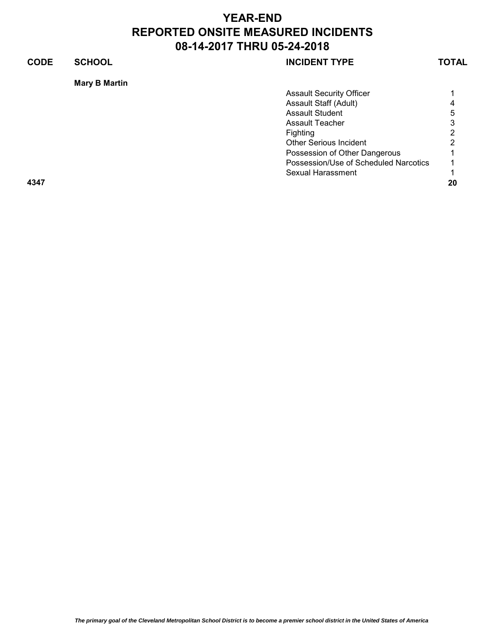| <b>CODE</b> | <b>SCHOOL</b>        | <b>INCIDENT TYPE</b>                  | TOTAL |
|-------------|----------------------|---------------------------------------|-------|
|             | <b>Mary B Martin</b> |                                       |       |
|             |                      | <b>Assault Security Officer</b>       |       |
|             |                      | Assault Staff (Adult)                 |       |
|             |                      | <b>Assault Student</b>                |       |
|             |                      | Assault Teacher                       | 3     |
|             |                      | Fighting                              | ົ     |
|             |                      | <b>Other Serious Incident</b>         | ົ     |
|             |                      | Possession of Other Dangerous         |       |
|             |                      | Possession/Use of Scheduled Narcotics |       |
|             |                      | Sexual Harassment                     |       |
| 4347        |                      |                                       | 20    |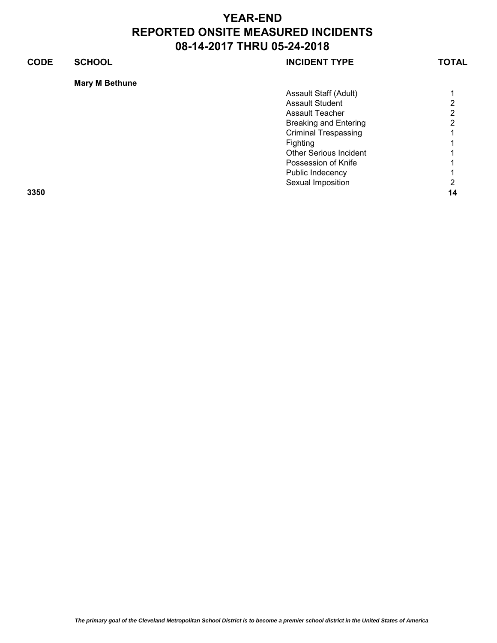| <b>CODE</b> | <b>SCHOOL</b>         | <b>INCIDENT TYPE</b>          | <b>TOTAL</b> |
|-------------|-----------------------|-------------------------------|--------------|
|             | <b>Mary M Bethune</b> |                               |              |
|             |                       | Assault Staff (Adult)         |              |
|             |                       | <b>Assault Student</b>        | ⌒            |
|             |                       | Assault Teacher               | っ            |
|             |                       | <b>Breaking and Entering</b>  | ⌒            |
|             |                       | <b>Criminal Trespassing</b>   |              |
|             |                       | Fighting                      |              |
|             |                       | <b>Other Serious Incident</b> |              |
|             |                       | Possession of Knife           |              |
|             |                       | Public Indecency              |              |
|             |                       | Sexual Imposition             |              |
|             |                       |                               |              |

**3350 14**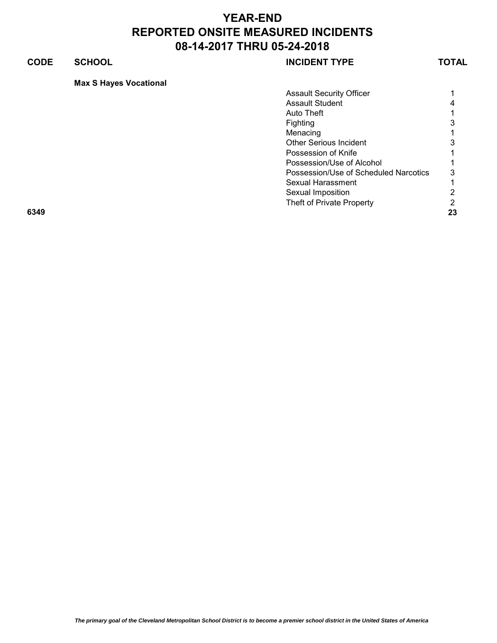### **CODE SCHOOL SCHOOL SCHOOL**

|      | <b>Assault Security Officer</b>       |                |
|------|---------------------------------------|----------------|
|      | <b>Assault Student</b>                | 4              |
|      | Auto Theft                            |                |
|      | <b>Fighting</b>                       | 3              |
|      | Menacing                              | 1.             |
|      | <b>Other Serious Incident</b>         | 3              |
|      | Possession of Knife                   |                |
|      | Possession/Use of Alcohol             |                |
|      | Possession/Use of Scheduled Narcotics | 3              |
|      | Sexual Harassment                     |                |
|      | Sexual Imposition                     | $\overline{2}$ |
|      | Theft of Private Property             | 2              |
| 6349 |                                       | 23             |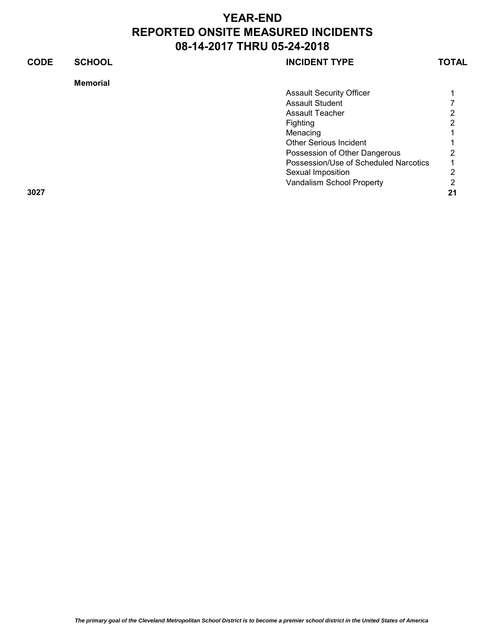| <b>CODE</b> | <b>SCHOOL</b>   | <b>INCIDENT TYPE</b>                  | TOTAL |
|-------------|-----------------|---------------------------------------|-------|
|             | <b>Memorial</b> |                                       |       |
|             |                 | <b>Assault Security Officer</b>       |       |
|             |                 | <b>Assault Student</b>                |       |
|             |                 | <b>Assault Teacher</b>                |       |
|             |                 | <b>Fighting</b>                       | ົ     |
|             |                 | Menacing                              |       |
|             |                 | <b>Other Serious Incident</b>         |       |
|             |                 | Possession of Other Dangerous         | റ     |
|             |                 | Possession/Use of Scheduled Narcotics |       |
|             |                 | Sexual Imposition                     | っ     |
|             |                 | Vandalism School Property             | ◠     |
| 3027        |                 |                                       | 21    |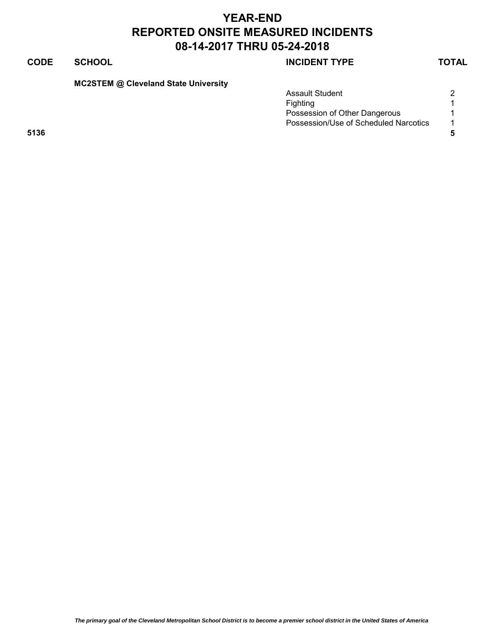### **CODE SCHOOL SCHOOL SCHOOL**

**MC2STEM @ Cleveland State University**

|      | <b>Assault Student</b>                | ◠ |
|------|---------------------------------------|---|
|      | Fighting                              |   |
|      | Possession of Other Dangerous         |   |
|      | Possession/Use of Scheduled Narcotics |   |
| 5136 |                                       |   |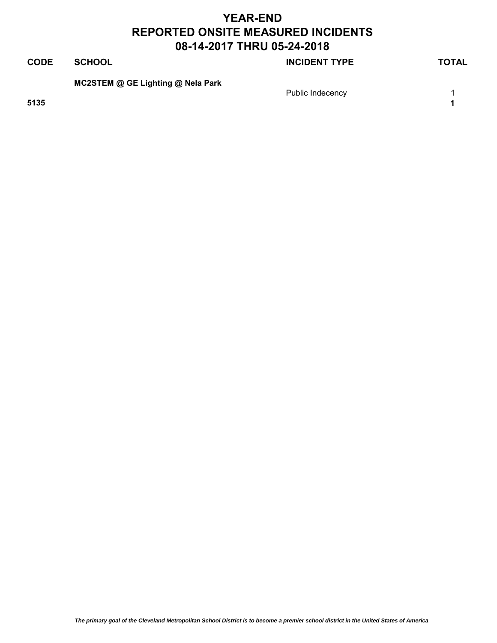## **CODE SCHOOL SCHOOL INCIDENT TYPE TOTAL MC2STEM @ GE Lighting @ Nela Park** Public Indecency **1 5135 1**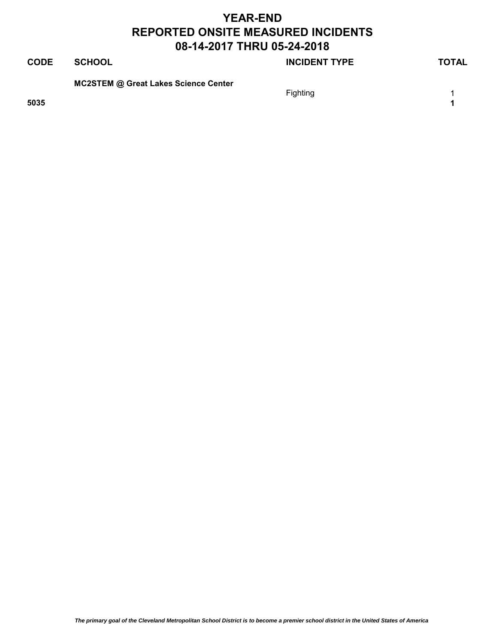| <b>CODE</b> | <b>SCHOOL</b>                               | <b>INCIDENT TYPE</b> | <b>TOTAL</b> |
|-------------|---------------------------------------------|----------------------|--------------|
| 5035        | <b>MC2STEM @ Great Lakes Science Center</b> | Fighting             | 4            |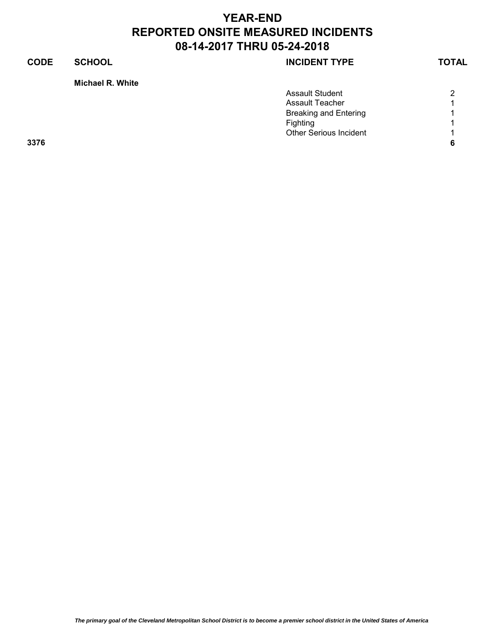### **CODE SCHOOL SCHOOL SCHOOL**

**Michael R. White**

|      | <b>Assault Student</b>        | 2              |
|------|-------------------------------|----------------|
|      | Assault Teacher               |                |
|      | <b>Breaking and Entering</b>  | $\overline{A}$ |
|      | Fighting                      | A              |
|      | <b>Other Serious Incident</b> |                |
| 3376 |                               | 6              |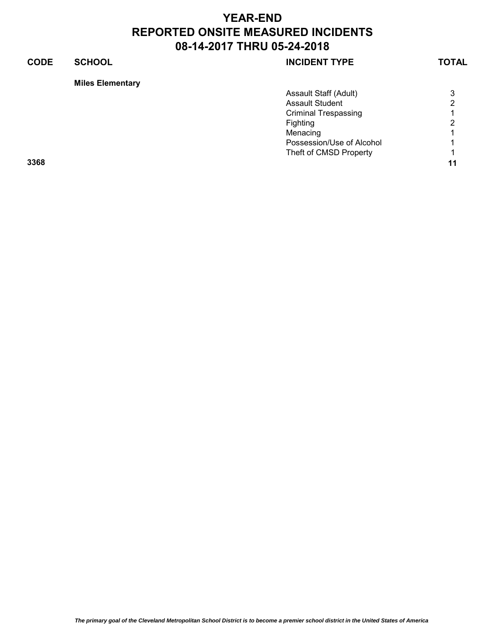### **CODE SCHOOL SCHOOL INCIDENT TYPE TOTAL**

### **Miles Elementary**

|      | Assault Staff (Adult)       | 3              |
|------|-----------------------------|----------------|
|      | <b>Assault Student</b>      | 2              |
|      | <b>Criminal Trespassing</b> |                |
|      | Fighting                    | $\overline{2}$ |
|      | Menacing                    | 1              |
|      | Possession/Use of Alcohol   | 1              |
|      | Theft of CMSD Property      |                |
| 3368 |                             | 11             |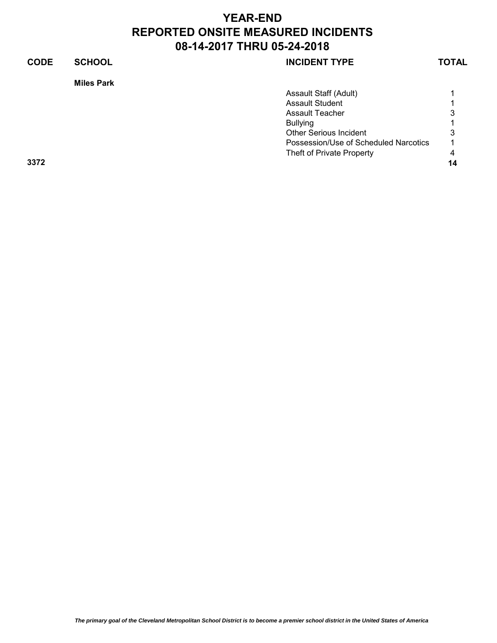| <b>CODE</b> | <b>SCHOOL</b>     | <b>INCIDENT TYPE</b>                  | <b>TOTAL</b> |
|-------------|-------------------|---------------------------------------|--------------|
|             | <b>Miles Park</b> |                                       |              |
|             |                   | Assault Staff (Adult)                 |              |
|             |                   | <b>Assault Student</b>                |              |
|             |                   | <b>Assault Teacher</b>                | 3            |
|             |                   | <b>Bullying</b>                       |              |
|             |                   | <b>Other Serious Incident</b>         | 3            |
|             |                   | Possession/Use of Scheduled Narcotics |              |
|             |                   | Theft of Private Property             | 4            |
| 3372        |                   |                                       | 14           |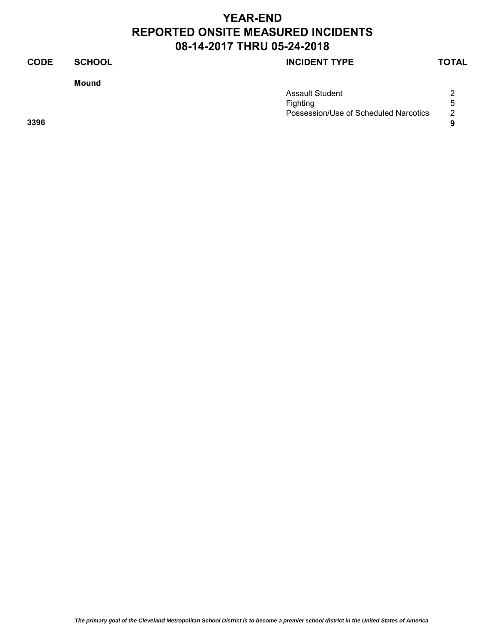**Mound**

### **CODE SCHOOL SCHOOL INCIDENT TYPE TOTAL**

|      | <b>Assault Student</b>                | ⌒         |
|------|---------------------------------------|-----------|
|      | Fighting                              |           |
|      | Possession/Use of Scheduled Narcotics | റ         |
| 3396 |                                       | $\bullet$ |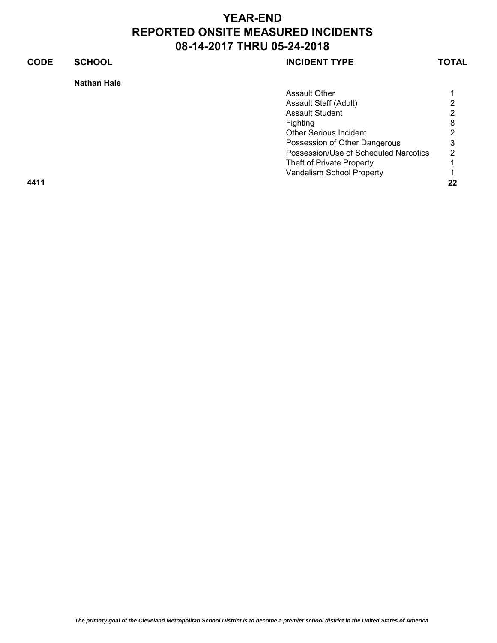### **CODE SCHOOL SCHOOL SCHOOL Nathan Hale** Assault Other 1 1 Assault Staff (Adult) 2 Assault Student Fighting 8 Other Serious Incident 2 Possession of Other Dangerous 3 Possession/Use of Scheduled Narcotics 2 Theft of Private Property 1 Vandalism School Property 1

**4411 22**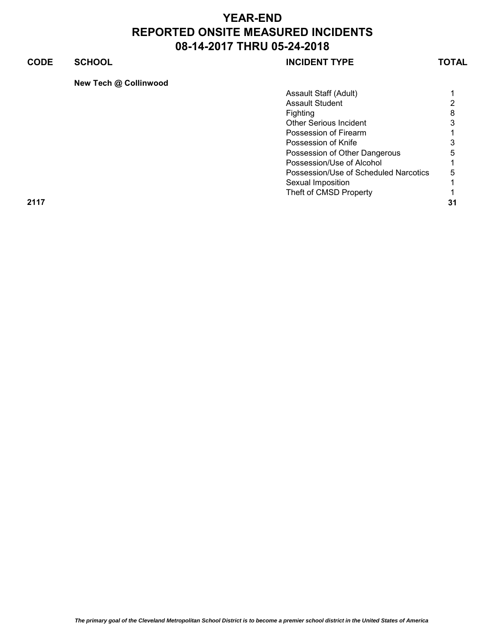### **CODE SCHOOL SCHOOL INCIDENT TYPE TOTAL**

|  | New Tech @ Collinwood |  |
|--|-----------------------|--|
|  |                       |  |

|      | Assault Staff (Adult)                 |                |
|------|---------------------------------------|----------------|
|      | <b>Assault Student</b>                | 2              |
|      | <b>Fighting</b>                       | 8              |
|      | <b>Other Serious Incident</b>         | 3              |
|      | Possession of Firearm                 |                |
|      | Possession of Knife                   | 3              |
|      | Possession of Other Dangerous         | 5              |
|      | Possession/Use of Alcohol             |                |
|      | Possession/Use of Scheduled Narcotics | 5              |
|      | Sexual Imposition                     |                |
|      | Theft of CMSD Property                |                |
| 2117 |                                       | 3 <sup>1</sup> |
|      |                                       |                |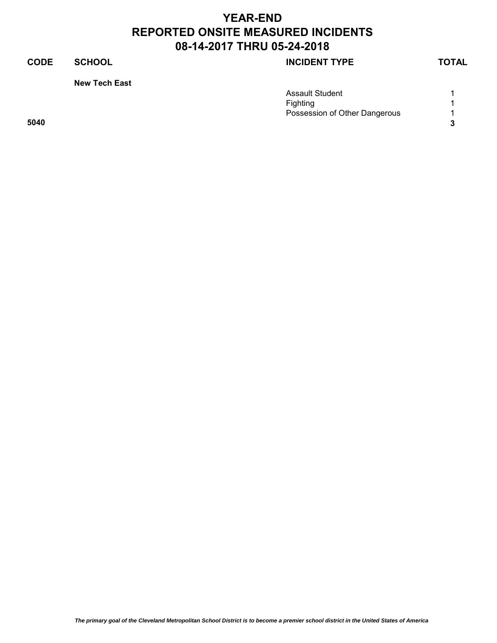### **CODE SCHOOL SCHOOL SCHOOL**

**New Tech East**

|      | <b>Assault Student</b>        |  |
|------|-------------------------------|--|
|      | Fighting                      |  |
|      | Possession of Other Dangerous |  |
| 5040 |                               |  |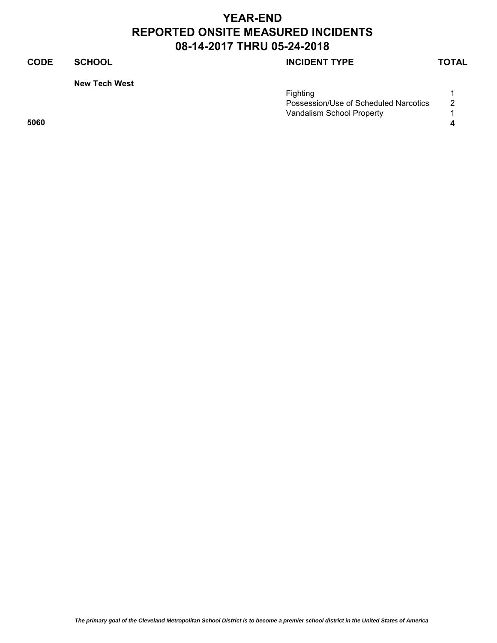### **CODE SCHOOL SCHOOL SCHOOL**

**New Tech West**

| Fiahtina |                                            |
|----------|--------------------------------------------|
|          | Possession/Use of Scheduled Narcotics<br>2 |
|          | Vandalism School Property                  |
| 5060     |                                            |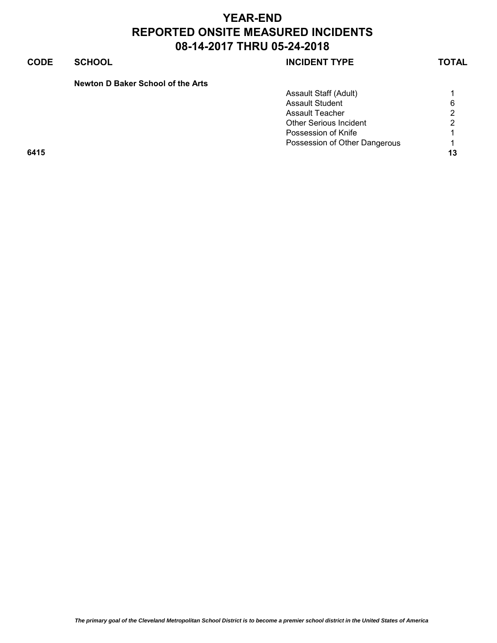### **CODE SCHOOL SCHOOL INCIDENT TYPE TOTAL**

| Newton D Baker School of the Arts |  |  |  |
|-----------------------------------|--|--|--|
|                                   |  |  |  |

|      | Assault Staff (Adult)         |    |
|------|-------------------------------|----|
|      | <b>Assault Student</b>        | 6  |
|      | Assault Teacher               | 2  |
|      | <b>Other Serious Incident</b> | 2  |
|      | Possession of Knife           |    |
|      | Possession of Other Dangerous | 1  |
| 6415 |                               | 13 |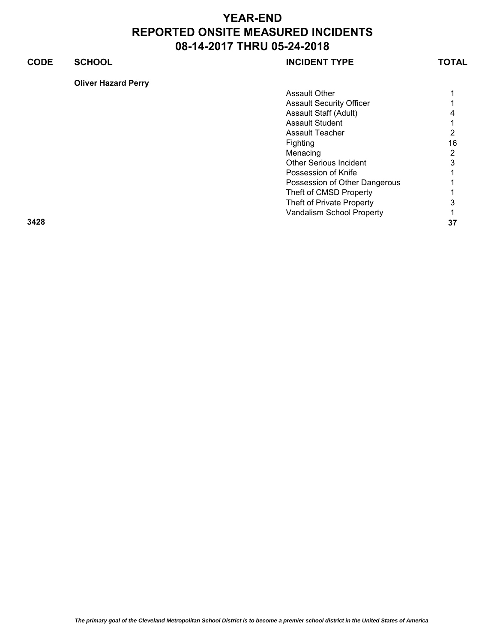### **CODE SCHOOL SCHOOL INCIDENT TYPE TOTAL**

**Oliver Hazard Perry**

| Assault Other                   |    |
|---------------------------------|----|
| <b>Assault Security Officer</b> |    |
| Assault Staff (Adult)           |    |
| Assault Student                 |    |
| Assault Teacher                 | 2  |
| Fighting                        | 16 |
| Menacing                        | 2  |
| <b>Other Serious Incident</b>   | 3  |
| Possession of Knife             |    |
| Possession of Other Dangerous   |    |
| Theft of CMSD Property          |    |
| Theft of Private Property       |    |
| Vandalism School Property       |    |

**3428 37**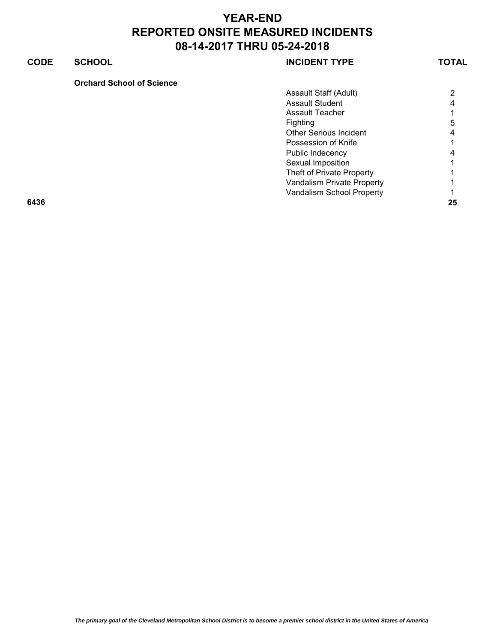### **CODE SCHOOL SCHOOL INCIDENT TYPE TOTAL**

| <b>Orchard School of Science</b> |  |
|----------------------------------|--|
|----------------------------------|--|

| $\overline{2}$ |
|----------------|
| 4              |
|                |
| 5              |
| 4              |
| 1.             |
| 4              |
|                |
|                |
| 1              |
| 1.             |
| 25             |
|                |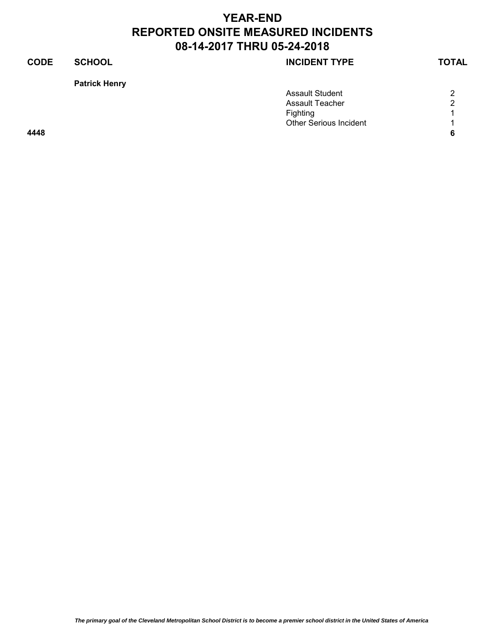### **CODE SCHOOL SCHOOL SCHOOL**

**Patrick Henry**

|      | <b>Assault Student</b>        | 2 |
|------|-------------------------------|---|
|      | Assault Teacher               | 2 |
|      | <b>Fighting</b>               |   |
|      | <b>Other Serious Incident</b> |   |
| 4448 |                               |   |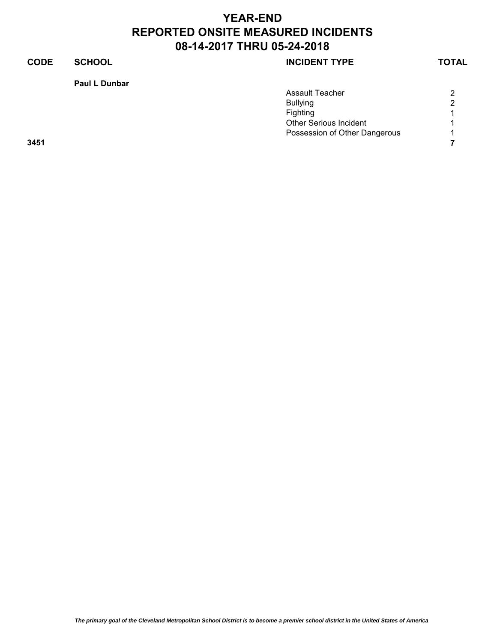### **CODE SCHOOL SCHOOL SCHOOL**

**Paul L Dunbar**

|      | <b>Assault Teacher</b>        | 2              |
|------|-------------------------------|----------------|
|      | <b>Bullying</b>               | 2              |
|      | Fighting                      | $\overline{A}$ |
|      | <b>Other Serious Incident</b> |                |
|      | Possession of Other Dangerous | $\overline{A}$ |
| 3451 |                               |                |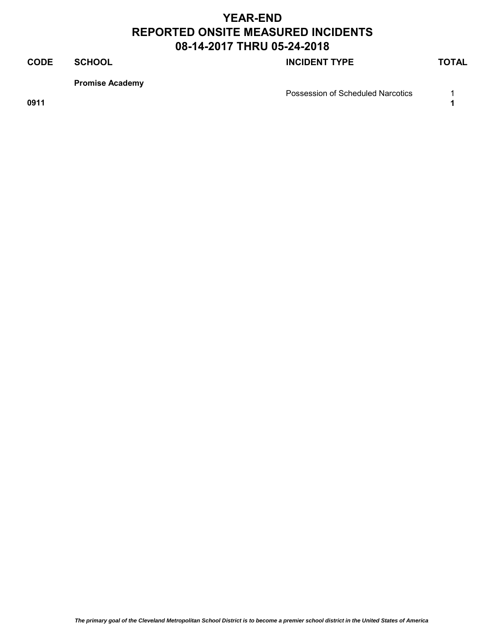### **CODE SCHOOL SCHOOL INCIDENT TYPE TOTAL**

**Promise Academy**

Possession of Scheduled Narcotics 1

**0911 1**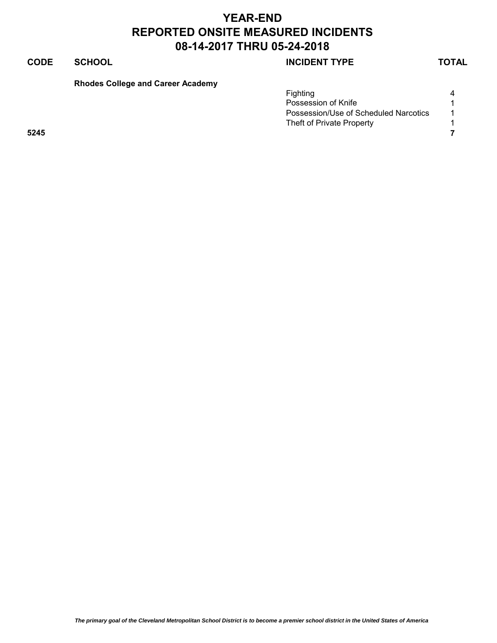### **CODE SCHOOL SCHOOL INCIDENT TYPE TOTAL**

**Rhodes College and Career Academy**

|      | <b>Fighting</b>                       | 4 |
|------|---------------------------------------|---|
|      | Possession of Knife                   |   |
|      | Possession/Use of Scheduled Narcotics |   |
|      | Theft of Private Property             |   |
| 5245 |                                       |   |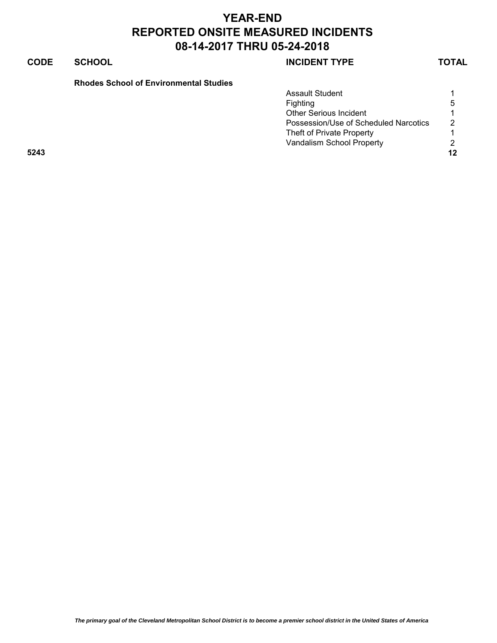### **CODE SCHOOL SCHOOL SCHOOL**

### **Rhodes School of Environmental Studies**

|      | <b>Assault Student</b>                |               |
|------|---------------------------------------|---------------|
|      | <b>Fighting</b>                       | .5            |
|      | <b>Other Serious Incident</b>         |               |
|      | Possession/Use of Scheduled Narcotics | $\mathcal{P}$ |
|      | Theft of Private Property             |               |
|      | Vandalism School Property             | 2             |
| 5243 |                                       | 12            |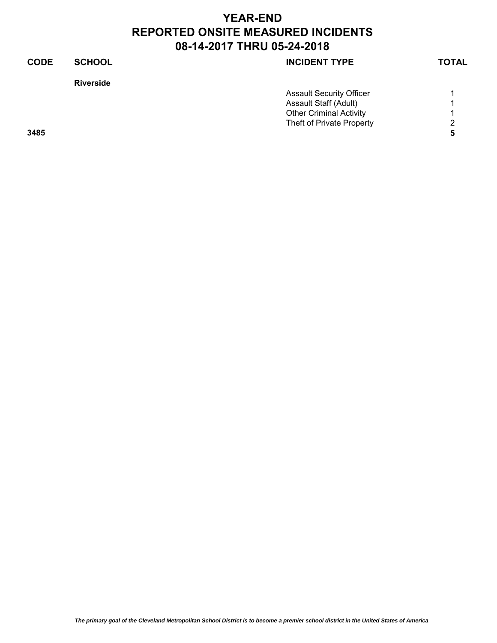| <b>CODE</b> | <b>SCHOOL</b>    | <b>INCIDENT TYPE</b>            | <b>TOTAL</b> |
|-------------|------------------|---------------------------------|--------------|
|             | <b>Riverside</b> |                                 |              |
|             |                  | <b>Assault Security Officer</b> |              |
|             |                  | Assault Staff (Adult)           |              |
|             |                  | <b>Other Criminal Activity</b>  |              |
|             |                  | Theft of Private Property       | 2            |
| 3485        |                  |                                 | 5            |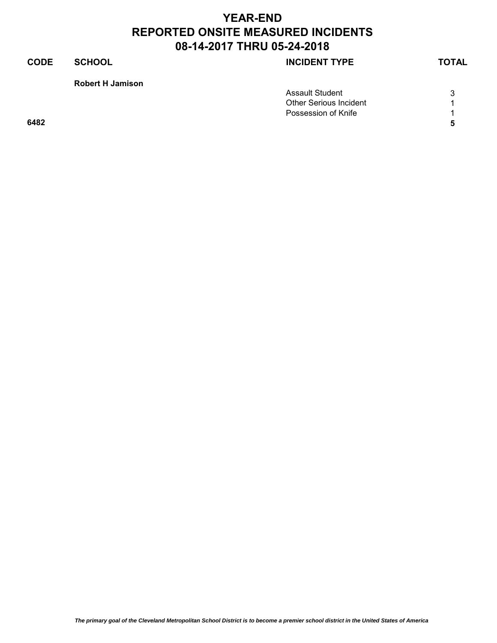### **CODE SCHOOL SCHOOL SCHOOL**

**Robert H Jamison** 

|      | <b>Assault Student</b>        | ◠ |
|------|-------------------------------|---|
|      | <b>Other Serious Incident</b> |   |
|      | Possession of Knife           |   |
| 6482 |                               |   |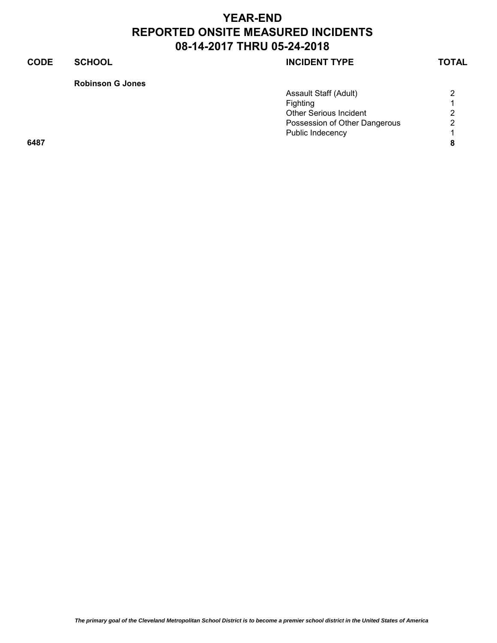### **CODE SCHOOL SCHOOL SCHOOL**

**Robinson G Jones**

|      | Assault Staff (Adult)         | 2 |
|------|-------------------------------|---|
|      | Fighting                      |   |
|      | <b>Other Serious Incident</b> | 2 |
|      | Possession of Other Dangerous | 2 |
|      | Public Indecency              |   |
| 6487 |                               |   |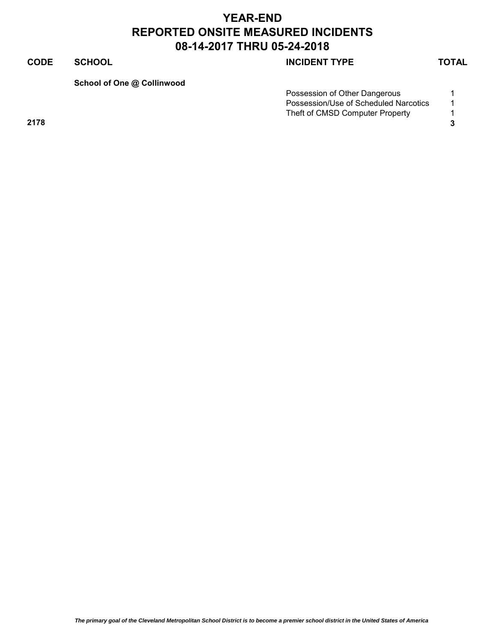### **CODE SCHOOL SCHOOL INCIDENT TYPE TOTAL**

**School of One @ Collinwood**

| Possession of Other Dangerous         |  |
|---------------------------------------|--|
| Possession/Use of Scheduled Narcotics |  |
| Theft of CMSD Computer Property       |  |

**2178 3**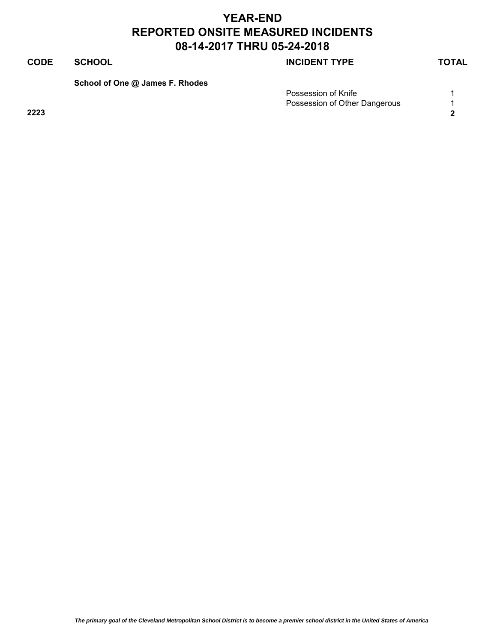### **CODE SCHOOL SCHOOL INCIDENT TYPE TOTAL**

**School of One @ James F. Rhodes**

| Possession of Knife           |  |
|-------------------------------|--|
| Possession of Other Dangerous |  |
| 2223                          |  |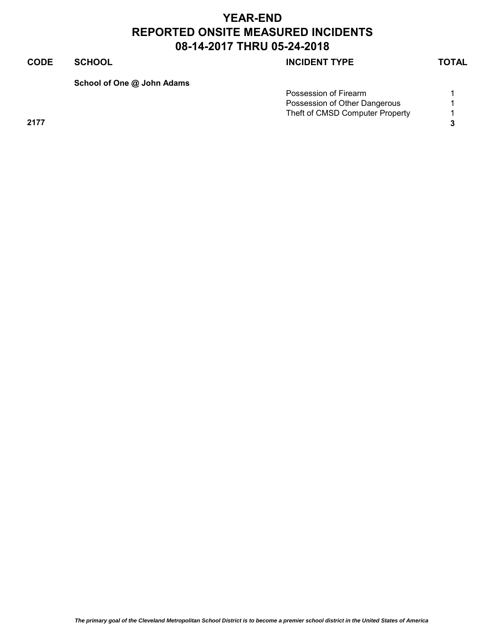### **CODE SCHOOL SCHOOL INCIDENT TYPE TOTAL**

**School of One @ John Adams**

| Possession of Firearm           |  |
|---------------------------------|--|
| Possession of Other Dangerous   |  |
| Theft of CMSD Computer Property |  |

**2177 3**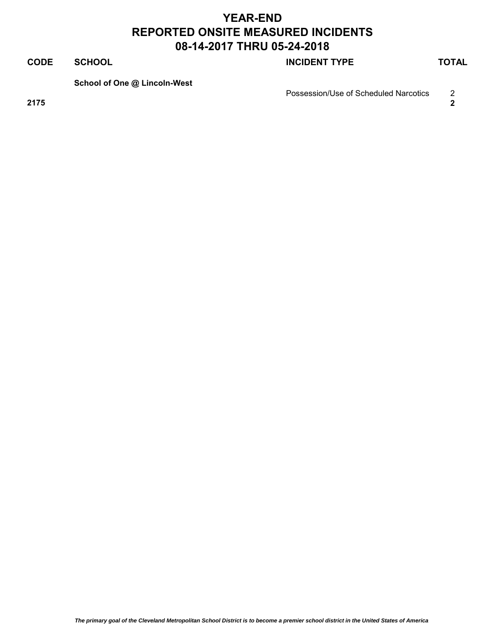### **CODE SCHOOL SCHOOL SCHOOL**

**School of One @ Lincoln-West**

Possession/Use of Scheduled Narcotics 2

**2175 2**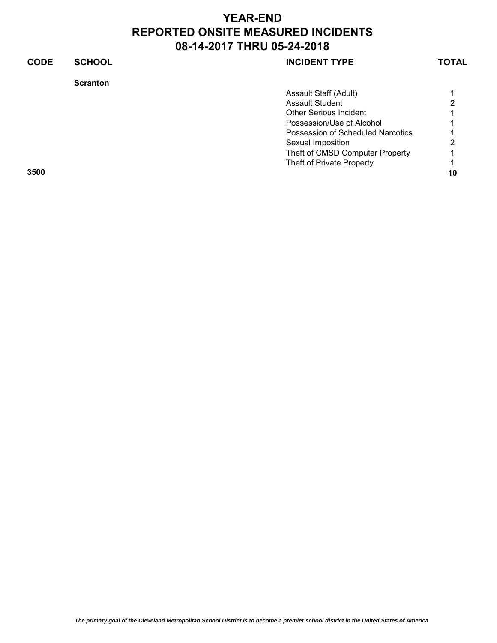### **CODE SCHOOL CODE SCHOOL Scranton** Assault Staff (Adult) 1 Assault Student 2 Other Serious Incident 1 Possession/Use of Alcohol 1 Possession of Scheduled Narcotics 1 Sexual Imposition 2 Theft of CMSD Computer Property 1 Theft of Private Property **1 3500 10**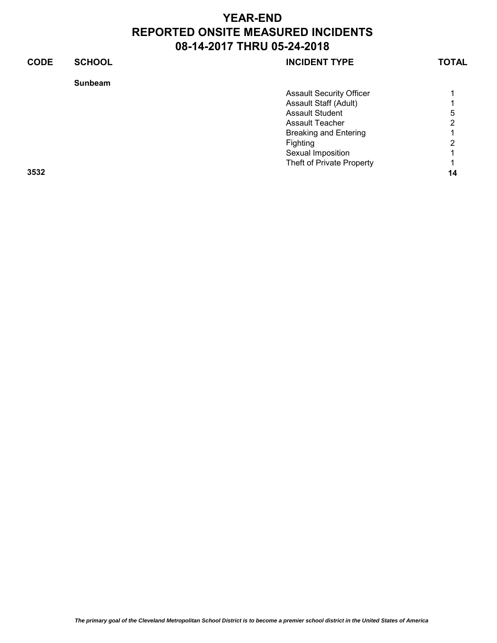| <b>CODE</b><br><b>SCHOOL</b><br><b>INCIDENT TYPE</b> | <b>TOTAL</b> |
|------------------------------------------------------|--------------|
| <b>Sunbeam</b>                                       |              |
| <b>Assault Security Officer</b>                      |              |
| Assault Staff (Adult)                                |              |
| <b>Assault Student</b>                               | 5            |
| Assault Teacher                                      | 2            |
| <b>Breaking and Entering</b>                         |              |
| Fighting                                             | 2            |
| Sexual Imposition                                    |              |
| Theft of Private Property                            |              |
| 3532                                                 | 14           |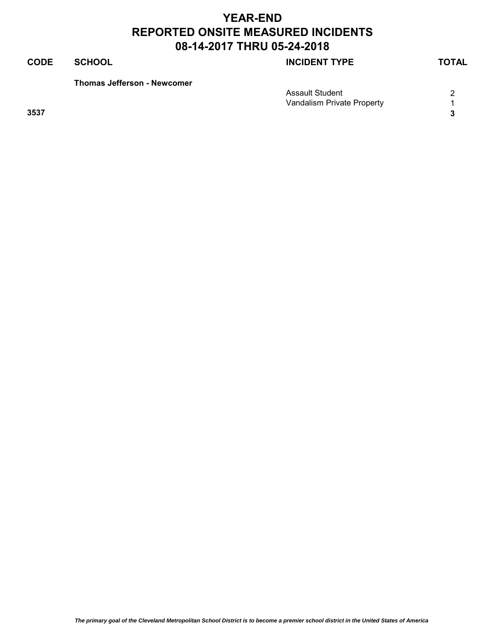### **CODE SCHOOL SCHOOL SCHOOL**

**Thomas Jefferson - Newcomer**

|      | <b>Assault Student</b>     | ົ |
|------|----------------------------|---|
|      | Vandalism Private Property |   |
| 3537 |                            |   |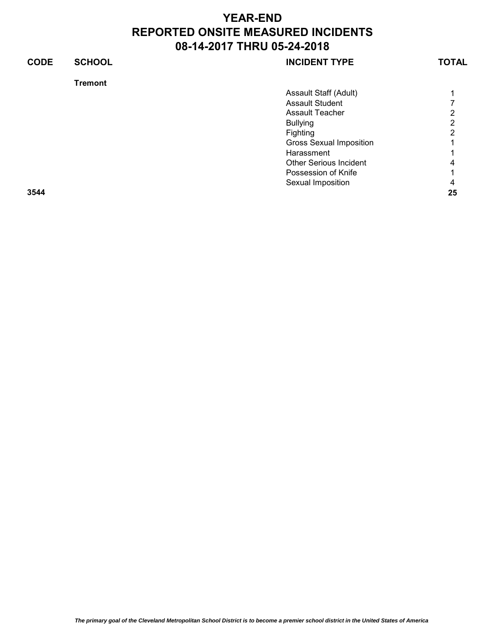| <b>CODE</b> | <b>SCHOOL</b>  | <b>INCIDENT TYPE</b>           | <b>TOTAL</b> |
|-------------|----------------|--------------------------------|--------------|
|             | <b>Tremont</b> |                                |              |
|             |                | Assault Staff (Adult)          |              |
|             |                | <b>Assault Student</b>         |              |
|             |                | <b>Assault Teacher</b>         | 2            |
|             |                | <b>Bullying</b>                | າ            |
|             |                | Fighting                       | 2            |
|             |                | <b>Gross Sexual Imposition</b> |              |
|             |                | Harassment                     |              |
|             |                | <b>Other Serious Incident</b>  | 4            |
|             |                | Possession of Knife            |              |
|             |                | Sexual Imposition              | 4            |
| 3544        |                |                                | 25           |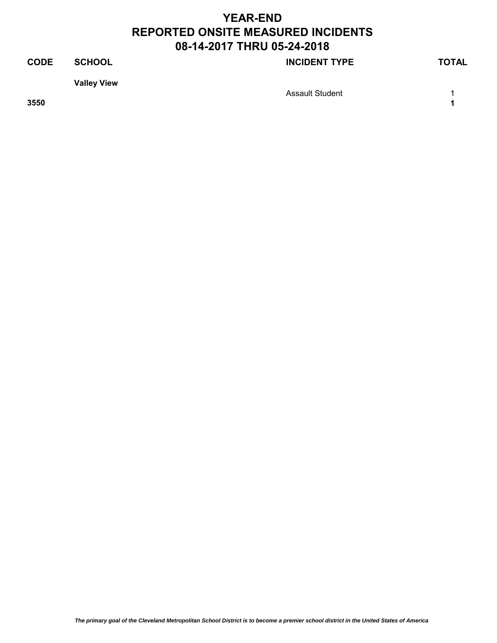## **CODE SCHOOL SCHOOL INCIDENT TYPE TOTAL Valley View** Assault Student 1 1 **3550 1**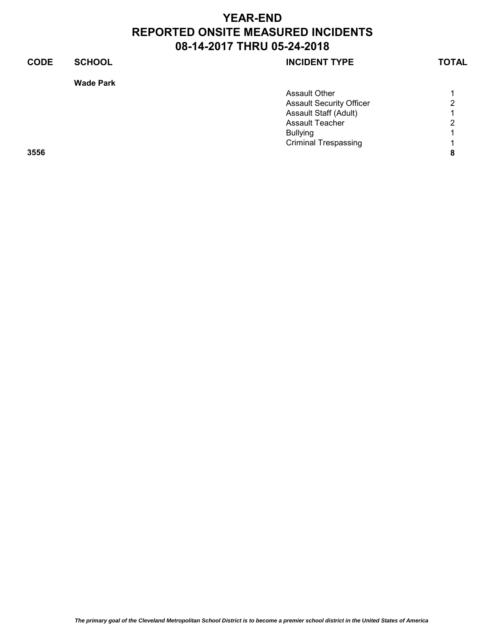# **CODE SCHOOL SCHOOL SCHOOL Wade Park**

| <b>Assault Security Officer</b><br>Assault Staff (Adult)<br><b>Assault Teacher</b><br><b>Bullying</b><br><b>Criminal Trespassing</b><br>3556 | <b>Assault Other</b> |                |
|----------------------------------------------------------------------------------------------------------------------------------------------|----------------------|----------------|
|                                                                                                                                              |                      | 2              |
|                                                                                                                                              |                      | 1              |
|                                                                                                                                              |                      | $\overline{2}$ |
|                                                                                                                                              |                      | 1              |
|                                                                                                                                              |                      | $\overline{ }$ |
|                                                                                                                                              |                      | 8              |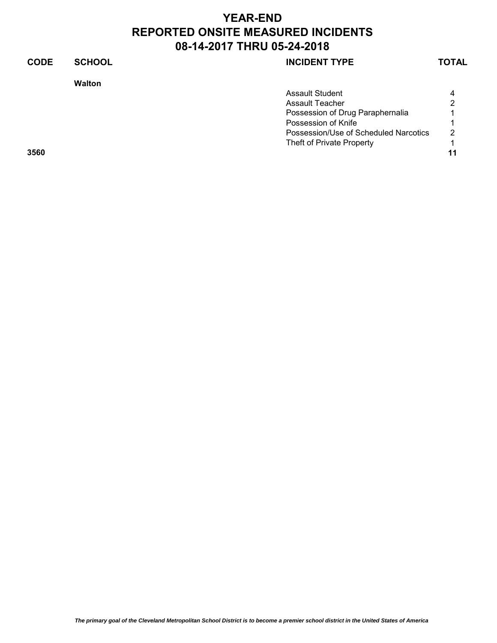### **CODE SCHOOL SCHOOL INCIDENT TYPE TOTAL**

**Walton**

| <b>Assault Student</b>                | $\overline{4}$            |
|---------------------------------------|---------------------------|
| Assault Teacher                       | 2                         |
| Possession of Drug Paraphernalia      |                           |
| Possession of Knife                   |                           |
| Possession/Use of Scheduled Narcotics | $\mathcal{P}$             |
|                                       |                           |
|                                       | 11                        |
|                                       | Theft of Private Property |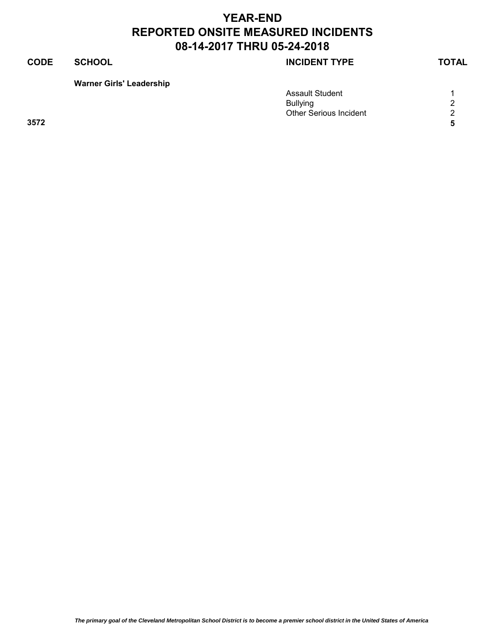### **CODE SCHOOL SCHOOL INCIDENT TYPE TOTAL**

**Warner Girls' Leadership**

|      | <b>Assault Student</b>        |            |
|------|-------------------------------|------------|
|      | <b>Bullying</b>               | $\sim$     |
|      | <b>Other Serious Incident</b> | $\sqrt{2}$ |
| 3572 |                               |            |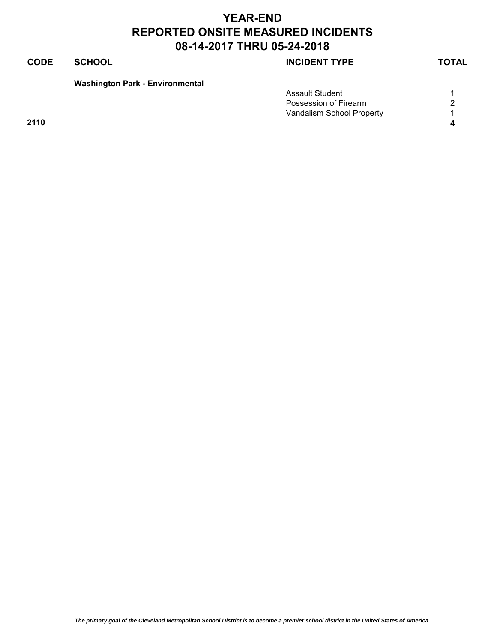### **CODE SCHOOL SCHOOL INCIDENT TYPE TOTAL**

**Washington Park - Environmental**

|      | <b>Assault Student</b>    |   |
|------|---------------------------|---|
|      | Possession of Firearm     | ◠ |
|      | Vandalism School Property |   |
| 2110 |                           |   |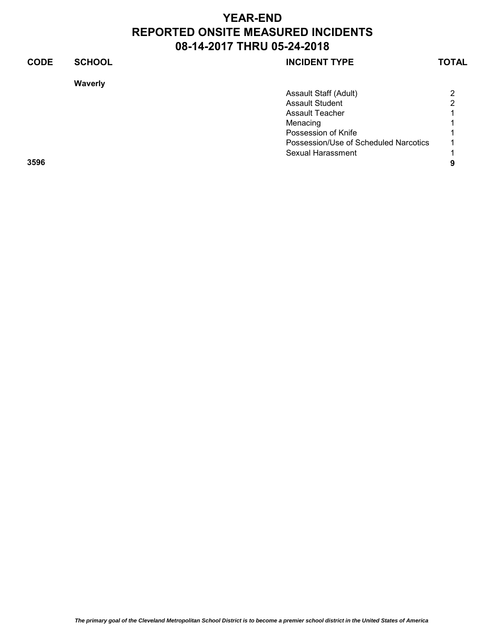### **CODE SCHOOL SCHOOL SCHOOL Waverly** Assault Staff (Adult) 2 Assault Student 2<br>Assault Teacher 2 Assault Teacher 1 Menacing 1 Possession of Knife 1 1 Possession/Use of Scheduled Narcotics 1 Sexual Harassment 1 **3596 9**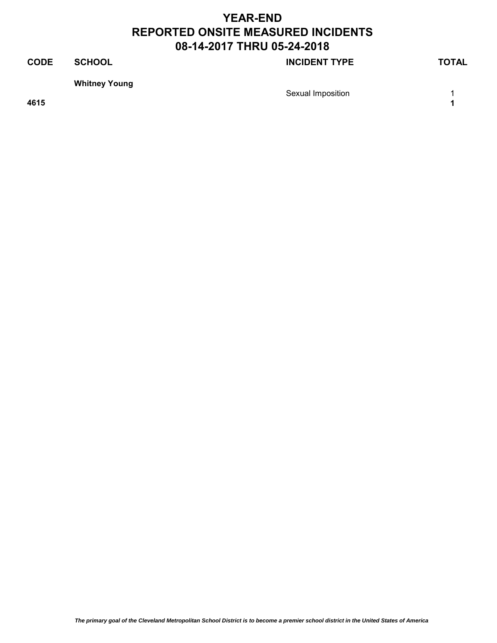## **CODE SCHOOL SCHOOL INCIDENT TYPE TOTAL Whitney Young** Sexual Imposition **1** and 1

**4615 1**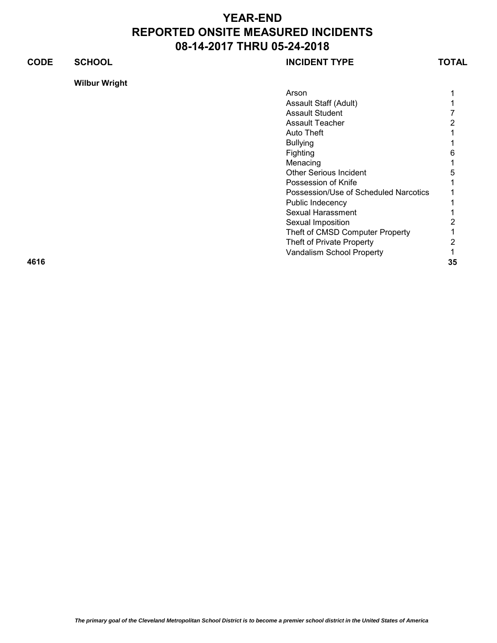### **CODE SCHOOL SCHOOL INCIDENT TYPE TOTAL**

**Wilbur Wright**

|      | Arson                                 |    |
|------|---------------------------------------|----|
|      | Assault Staff (Adult)                 |    |
|      | <b>Assault Student</b>                |    |
|      | Assault Teacher                       |    |
|      | Auto Theft                            |    |
|      | <b>Bullying</b>                       |    |
|      | Fighting                              | 6  |
|      | Menacing                              |    |
|      | <b>Other Serious Incident</b>         | 5  |
|      | Possession of Knife                   |    |
|      | Possession/Use of Scheduled Narcotics |    |
|      | Public Indecency                      |    |
|      | Sexual Harassment                     |    |
|      | Sexual Imposition                     |    |
|      | Theft of CMSD Computer Property       |    |
|      | Theft of Private Property             |    |
|      | Vandalism School Property             |    |
| 4616 |                                       | 35 |
|      |                                       |    |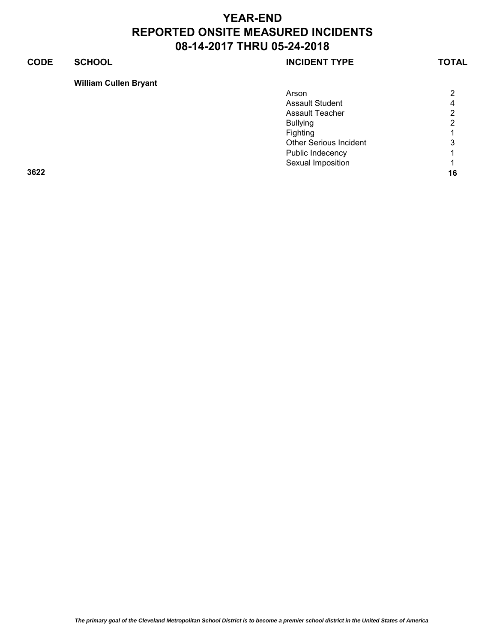### **CODE SCHOOL SCHOOL SCHOOL**

### **William Cullen Bryant**

| Arson                         | $\overline{2}$       |
|-------------------------------|----------------------|
| <b>Assault Student</b>        | $\overline{4}$       |
| <b>Assault Teacher</b>        | $\overline{2}$       |
| <b>Bullying</b>               | $\overline{2}$       |
| Fighting                      | $\blacktriangleleft$ |
| <b>Other Serious Incident</b> | 3                    |
| Public Indecency              | 1                    |
| Sexual Imposition             | $\overline{1}$       |
| 3622                          | 16                   |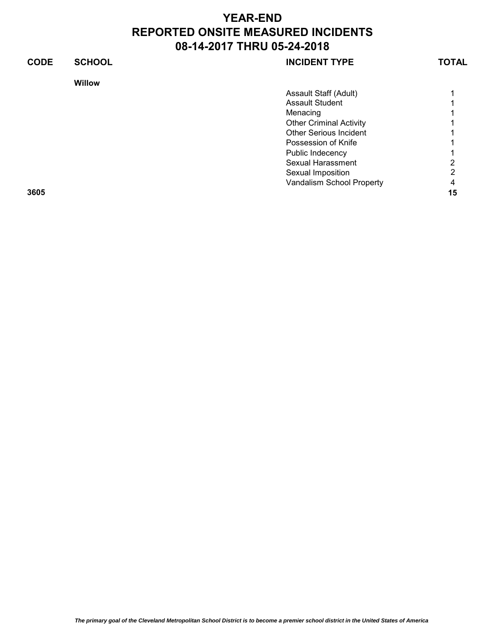| <b>CODE</b> | <b>SCHOOL</b> | <b>INCIDENT TYPE</b>           | TOTAL |
|-------------|---------------|--------------------------------|-------|
|             | <b>Willow</b> |                                |       |
|             |               | Assault Staff (Adult)          |       |
|             |               | <b>Assault Student</b>         |       |
|             |               | Menacing                       |       |
|             |               | <b>Other Criminal Activity</b> |       |
|             |               | <b>Other Serious Incident</b>  |       |
|             |               | Possession of Knife            |       |
|             |               | Public Indecency               |       |
|             |               | Sexual Harassment              | 2     |
|             |               | Sexual Imposition              | っ     |
|             |               | Vandalism School Property      | 4     |
| 3605        |               |                                | 15    |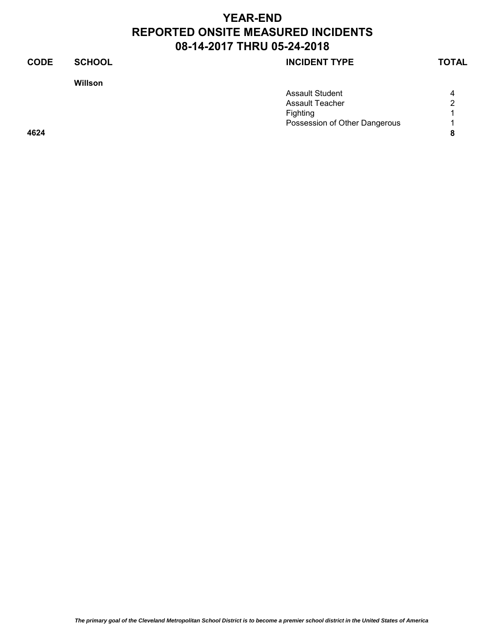# **YEAR-END REPORTED ONSITE MEASURED INCIDENTS 08-14-2017 THRU 05-24-2018**

**Willson**

### **CODE SCHOOL SCHOOL SCHOOL**

|      | <b>Assault Student</b>        | 4 |
|------|-------------------------------|---|
|      | Assault Teacher               | 2 |
|      | Fighting                      |   |
|      | Possession of Other Dangerous |   |
| 4624 |                               |   |